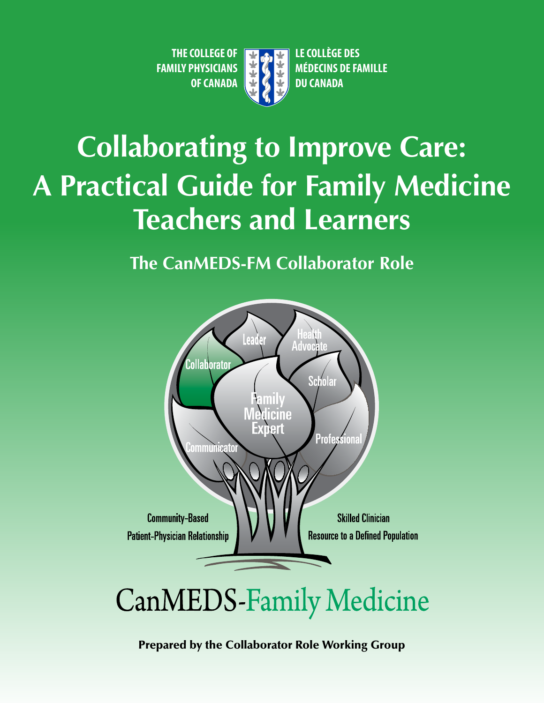**THE COLLEGE OF LEGAL FAILE COLLÈGE DES** 



**FAMILY PHYSICIANS WE GET AND MÉDECINS DE FAMILLE OF CANADA B G C DU CANADA** 

# **Collaborating to Improve Care: A Practical Guide for Family Medicine Teachers and Learners**

**The CanMEDS-FM Collaborator Role** 



# **CanMEDS-Family Medicine**

Prepared by the Collaborator Role Working Group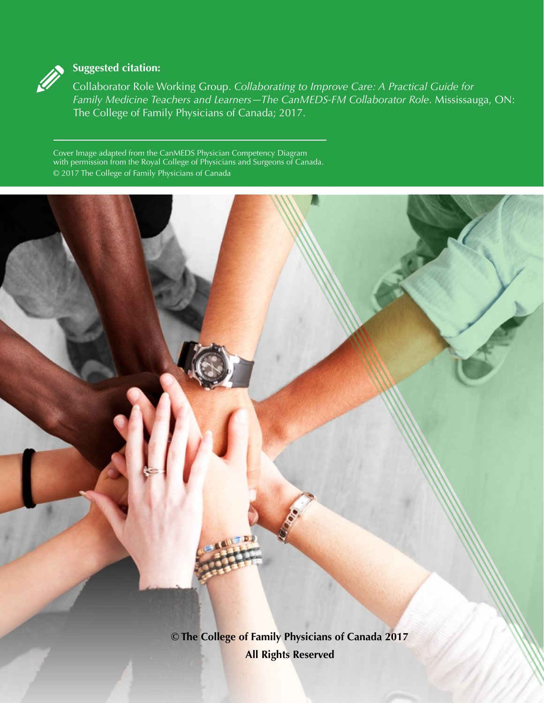

# **Suggested citation:**

Collaborator Role Working Group. *Collaborating to Improve Care: A Practical Guide for Family Medicine Teachers and Learners—The CanMEDS-FM Collaborator Role*. Mississauga, ON: The College of Family Physicians of Canada; 2017.

Cover Image adapted from the CanMEDS Physician Competency Diagram with permission from the Royal College of Physicians and Surgeons of Canada. © 2017 The College of Family Physicians of Canada

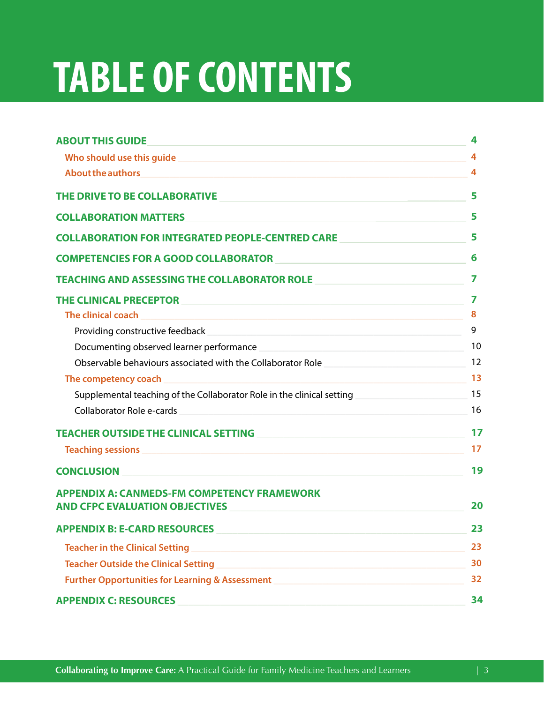# **TABLE OF CONTENTS**

| <b>ABOUT THIS GUIDE</b>                                                                                                                                                                                                                | 4  |
|----------------------------------------------------------------------------------------------------------------------------------------------------------------------------------------------------------------------------------------|----|
| Who should use this guide<br><u>San Andrea Barrowski, and the short of the state of the state of the state of the state of the state of the state of the state of the state of the state of the state of the state of the state of</u> | 4  |
| About the authors <b>About the authors</b>                                                                                                                                                                                             | 4  |
| THE DRIVE TO BE COLLABORATIVE                                                                                                                                                                                                          | 5  |
| <b>COLLABORATION MATTERS</b>                                                                                                                                                                                                           | 5  |
| <b>COLLABORATION FOR INTEGRATED PEOPLE-CENTRED CARE</b>                                                                                                                                                                                | 5  |
| <b>COMPETENCIES FOR A GOOD COLLABORATOR</b>                                                                                                                                                                                            | 6  |
| TEACHING AND ASSESSING THE COLLABORATOR ROLE <b>And Accept and Accept and Accept</b>                                                                                                                                                   | 7  |
| THE CLINICAL PRECEPTOR <b>Experimental Construction</b>                                                                                                                                                                                | 7  |
| The clinical coach<br><u> 1980 - Johann Barbara, martxa alemaniar argumento este alemaniar alemaniar alemaniar alemaniar alemaniar al</u>                                                                                              | 8  |
|                                                                                                                                                                                                                                        | 9  |
| Documenting observed learner performance example and the contract of the contract of the contract of the contract of the contract of the contract of the contract of the contract of the contract of the contract of the contr         | 10 |
| Observable behaviours associated with the Collaborator Role                                                                                                                                                                            | 12 |
| <u> 1980 - Johann Barn, amerikan besteman besteman besteman besteman besteman besteman besteman besteman bestema</u><br>The competency coach                                                                                           | 13 |
| Supplemental teaching of the Collaborator Role in the clinical setting                                                                                                                                                                 | 15 |
| Collaborator Role e-cards                                                                                                                                                                                                              | 16 |
| <b>TEACHER OUTSIDE THE CLINICAL SETTING</b><br><u> 1980 - Johann Barbara, martin amerikan basal da</u>                                                                                                                                 | 17 |
| <b>Teaching sessions and the contract of the contract of the contract of the contract of the contract of the contract of the contract of the contract of the contract of the contract of the contract of the contract of the con</b>   | 17 |
| <b>CONCLUSION</b><br><u> 1989 - Johann Barbara, martxa alemaniar arg</u>                                                                                                                                                               | 19 |
| <b>APPENDIX A: CANMEDS-FM COMPETENCY FRAMEWORK</b><br><b>AND CFPC EVALUATION OBJECTIVES</b>                                                                                                                                            | 20 |
| <b>APPENDIX B: E-CARD RESOURCES</b>                                                                                                                                                                                                    | 23 |
| <b>Teacher in the Clinical Setting</b><br><u> 1989 - Johann John Stein, marwolaeth a breninn a breninn a breninn a breninn a breninn a breninn a breninn a</u>                                                                         | 23 |
| <b>Teacher Outside the Clinical Setting</b><br><u> 1989 - Jan Samuel Barbara, margaret eta biztanleria (h. 1989).</u>                                                                                                                  | 30 |
| <b>Further Opportunities for Learning &amp; Assessment</b>                                                                                                                                                                             | 32 |
| <b>APPENDIX C: RESOURCES</b>                                                                                                                                                                                                           | 34 |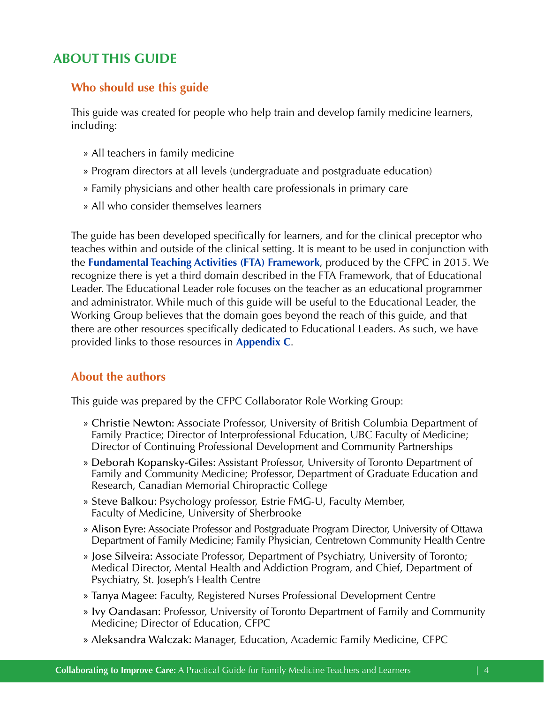# <span id="page-3-0"></span>**ABOUT THIS GUIDE**

# **Who should use this guide**

This guide was created for people who help train and develop family medicine learners, including:

- » All teachers in family medicine
- » Program directors at all levels (undergraduate and postgraduate education)
- » Family physicians and other health care professionals in primary care
- » All who consider themselves learners

The guide has been developed specifically for learners, and for the clinical preceptor who teaches within and outside of the clinical setting. It is meant to be used in conjunction with the **[Fundamental Teaching Activities \(FTA\) Framework](http://www.cfpc.ca/uploadedFiles/Education/_PDFs/FTA_GUIDE_TM_ENG_Apr15_REV.pdf)**, produced by the CFPC in 2015. We recognize there is yet a third domain described in the FTA Framework, that of Educational Leader. The Educational Leader role focuses on the teacher as an educational programmer and administrator. While much of this guide will be useful to the Educational Leader, the Working Group believes that the domain goes beyond the reach of this guide, and that there are other resources specifically dedicated to Educational Leaders. As such, we have provided links to those resources in **[Appendix C](#page-33-0)**.

# **About the authors**

This guide was prepared by the CFPC Collaborator Role Working Group:

- » Christie Newton: Associate Professor, University of British Columbia Department of Family Practice; Director of Interprofessional Education, UBC Faculty of Medicine; Director of Continuing Professional Development and Community Partnerships
- » Deborah Kopansky-Giles: Assistant Professor, University of Toronto Department of Family and Community Medicine; Professor, Department of Graduate Education and Research, Canadian Memorial Chiropractic College
- » Steve Balkou: Psychology professor, Estrie FMG-U, Faculty Member, Faculty of Medicine, University of Sherbrooke
- » Alison Eyre: Associate Professor and Postgraduate Program Director, University of Ottawa Department of Family Medicine; Family Physician, Centretown Community Health Centre
- » Jose Silveira: Associate Professor, Department of Psychiatry, University of Toronto; Medical Director, Mental Health and Addiction Program, and Chief, Department of Psychiatry, St. Joseph's Health Centre
- » Tanya Magee: Faculty, Registered Nurses Professional Development Centre
- » Ivy Oandasan: Professor, University of Toronto Department of Family and Community Medicine; Director of Education, CFPC
- » Aleksandra Walczak: Manager, Education, Academic Family Medicine, CFPC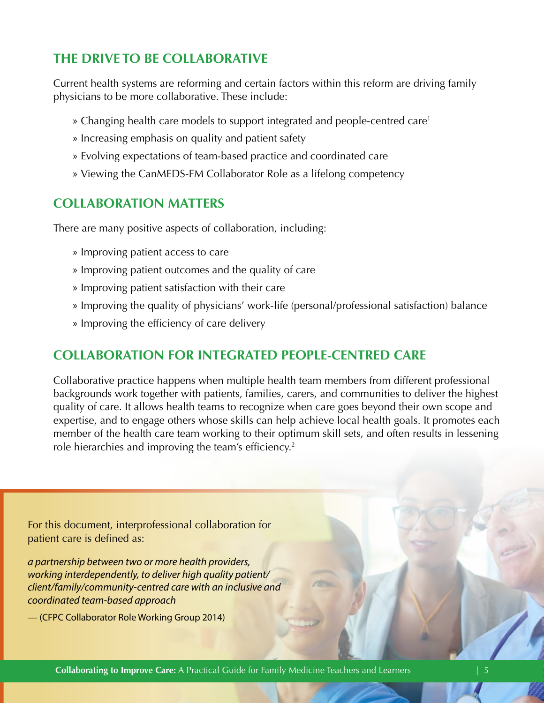# <span id="page-4-0"></span>**THE DRIVE TO BE COLLABORATIVE**

Current health systems are reforming and certain factors within this reform are driving family physicians to be more collaborative. These include:

- » Changing health care models to support integrated and people-centred care[1](#page-34-0)
- » Increasing emphasis on quality and patient safety
- » Evolving expectations of team-based practice and coordinated care
- » Viewing the CanMEDS-FM Collaborator Role as a lifelong competency

# **COLLABORATION MATTERS**

There are many positive aspects of collaboration, including:

- » Improving patient access to care
- » Improving patient outcomes and the quality of care
- » Improving patient satisfaction with their care
- » Improving the quality of physicians' work-life (personal/professional satisfaction) balance
- » Improving the efficiency of care delivery

# **COLLABORATION FOR INTEGRATED PEOPLE-CENTRED CARE**

Collaborative practice happens when multiple health team members from different professional backgrounds work together with patients, families, carers, and communities to deliver the highest quality of care. It allows health teams to recognize when care goes beyond their own scope and expertise, and to engage others whose skills can help achieve local health goals. It promotes each member of the health care team working to their optimum skill sets, and often results in lessening role hierarchies and improving the team's efficiency.<sup>2</sup>

For this document, interprofessional collaboration for patient care is defined as:

*a partnership between two or more health providers, working interdependently, to deliver high quality patient/ client/family/community-centred care with an inclusive and coordinated team-based approach* 

— (CFPC Collaborator Role Working Group 2014)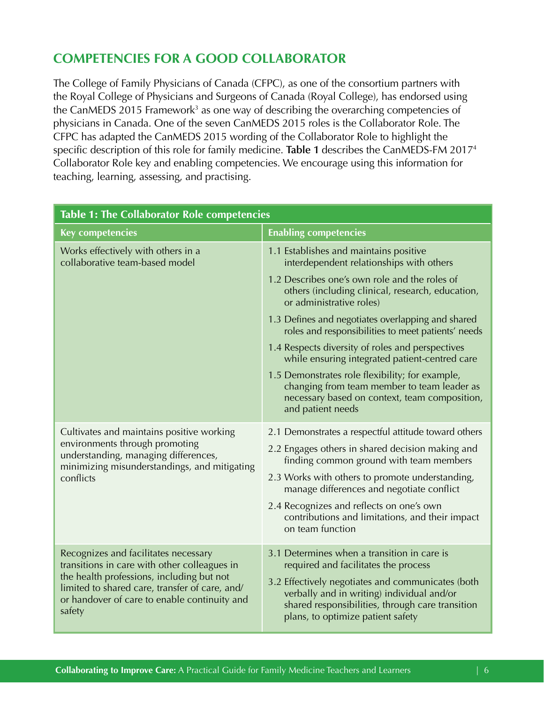# <span id="page-5-0"></span>**COMPETENCIES FOR A GOOD COLLABORATOR**

The College of Family Physicians of Canada (CFPC), as one of the consortium partners with the Royal College of Physicians and Surgeons of Canada (Royal College), has endorsed using the CanMEDS 2015 Framework<sup>[3](#page-34-0)</sup> as one way of describing the overarching competencies of physicians in Canada. One of the seven CanMEDS 2015 roles is the Collaborator Role. The CFPC has adapted the CanMEDS 2015 wording of the Collaborator Role to highlight the specific description of this role for family medicine. **Table 1** describes the CanMEDS-FM 2017[4](#page-34-0)  Collaborator Role key and enabling competencies. We encourage using this information for teaching, learning, assessing, and practising.

| <b>Table 1: The Collaborator Role competencies</b>                                                                                                                                                    |                                                                                                                                                                                                                                  |  |
|-------------------------------------------------------------------------------------------------------------------------------------------------------------------------------------------------------|----------------------------------------------------------------------------------------------------------------------------------------------------------------------------------------------------------------------------------|--|
| <b>Key competencies</b>                                                                                                                                                                               | <b>Enabling competencies</b>                                                                                                                                                                                                     |  |
| Works effectively with others in a<br>collaborative team-based model                                                                                                                                  | 1.1 Establishes and maintains positive<br>interdependent relationships with others                                                                                                                                               |  |
|                                                                                                                                                                                                       | 1.2 Describes one's own role and the roles of<br>others (including clinical, research, education,<br>or administrative roles)                                                                                                    |  |
|                                                                                                                                                                                                       | 1.3 Defines and negotiates overlapping and shared<br>roles and responsibilities to meet patients' needs                                                                                                                          |  |
|                                                                                                                                                                                                       | 1.4 Respects diversity of roles and perspectives<br>while ensuring integrated patient-centred care                                                                                                                               |  |
|                                                                                                                                                                                                       | 1.5 Demonstrates role flexibility; for example,<br>changing from team member to team leader as<br>necessary based on context, team composition,<br>and patient needs                                                             |  |
| Cultivates and maintains positive working                                                                                                                                                             | 2.1 Demonstrates a respectful attitude toward others                                                                                                                                                                             |  |
| environments through promoting<br>understanding, managing differences,<br>minimizing misunderstandings, and mitigating<br>conflicts                                                                   | 2.2 Engages others in shared decision making and<br>finding common ground with team members                                                                                                                                      |  |
|                                                                                                                                                                                                       | 2.3 Works with others to promote understanding,<br>manage differences and negotiate conflict                                                                                                                                     |  |
|                                                                                                                                                                                                       | 2.4 Recognizes and reflects on one's own<br>contributions and limitations, and their impact<br>on team function                                                                                                                  |  |
| Recognizes and facilitates necessary                                                                                                                                                                  | 3.1 Determines when a transition in care is                                                                                                                                                                                      |  |
| transitions in care with other colleagues in<br>the health professions, including but not<br>limited to shared care, transfer of care, and/<br>or handover of care to enable continuity and<br>safety | required and facilitates the process<br>3.2 Effectively negotiates and communicates (both<br>verbally and in writing) individual and/or<br>shared responsibilities, through care transition<br>plans, to optimize patient safety |  |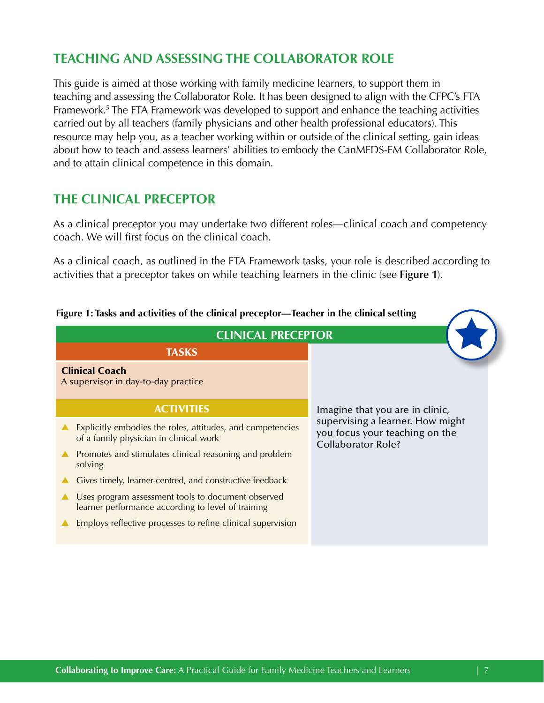# <span id="page-6-0"></span> **TEACHING AND ASSESSING THE COLLABORATOR ROLE**

This guide is aimed at those working with family medicine learners, to support them in teaching and assessing the Collaborator Role. It has been designed to align with the CFPC's FTA Framework[.5](#page-34-0) The FTA Framework was developed to support and enhance the teaching activities carried out by all teachers (family physicians and other health professional educators). This resource may help you, as a teacher working within or outside of the clinical setting, gain ideas about how to teach and assess learners' abilities to embody the CanMEDS-FM Collaborator Role, and to attain clinical competence in this domain.

# **THE CLINICAL PRECEPTOR**

As a clinical preceptor you may undertake two different roles—clinical coach and competency coach. We will first focus on the clinical coach.

As a clinical coach, as outlined in the FTA Framework tasks, your role is described according to activities that a preceptor takes on while teaching learners in the clinic (see **Figure 1**).



 **Figure 1: Tasks and activities of the clinical preceptor—Teacher in the clinical setting**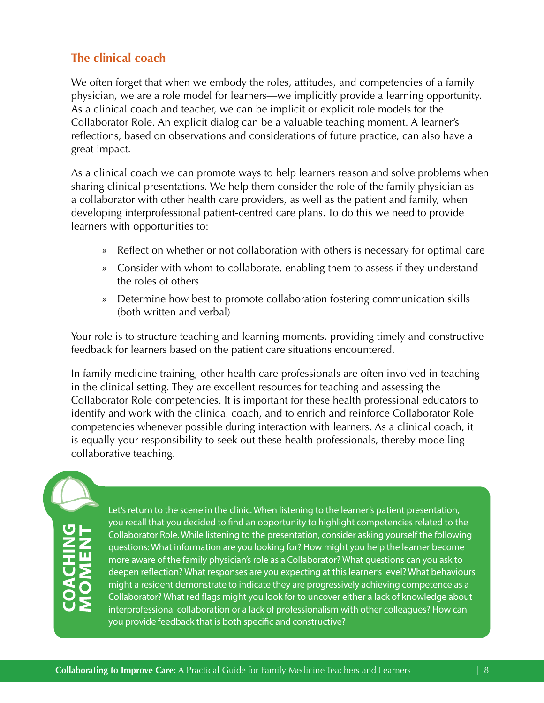# <span id="page-7-0"></span>**The clinical coach**

We often forget that when we embody the roles, attitudes, and competencies of a family physician, we are a role model for learners—we implicitly provide a learning opportunity. As a clinical coach and teacher, we can be implicit or explicit role models for the Collaborator Role. An explicit dialog can be a valuable teaching moment. A learner's reflections, based on observations and considerations of future practice, can also have a great impact.

As a clinical coach we can promote ways to help learners reason and solve problems when sharing clinical presentations. We help them consider the role of the family physician as a collaborator with other health care providers, as well as the patient and family, when developing interprofessional patient-centred care plans. To do this we need to provide learners with opportunities to:

- » Reflect on whether or not collaboration with others is necessary for optimal care
- » Consider with whom to collaborate, enabling them to assess if they understand the roles of others
- » Determine how best to promote collaboration fostering communication skills (both written and verbal)

Your role is to structure teaching and learning moments, providing timely and constructive feedback for learners based on the patient care situations encountered.

In family medicine training, other health care professionals are often involved in teaching in the clinical setting. They are excellent resources for teaching and assessing the Collaborator Role competencies. It is important for these health professional educators to identify and work with the clinical coach, and to enrich and reinforce Collaborator Role competencies whenever possible during interaction with learners. As a clinical coach, it is equally your responsibility to seek out these health professionals, thereby modelling collaborative teaching.

# **COACHING**

Let's return to the scene in the clinic. When listening to the learner's patient presentation, you recall that you decided to fnd an opportunity to highlight competencies related to the Collaborator Role. While listening to the presentation, consider asking yourself the following questions: What information are you looking for? How might you help the learner become more aware of the family physician's role as a Collaborator? What questions can you ask to deepen refection? What responses are you expecting at this learner's level? What behaviours might a resident demonstrate to indicate they are progressively achieving competence as a Collaborator? What red fags might you look for to uncover either a lack of knowledge about interprofessional collaboration or a lack of professionalism with other colleagues? How can you provide feedback that is both specifc and constructive?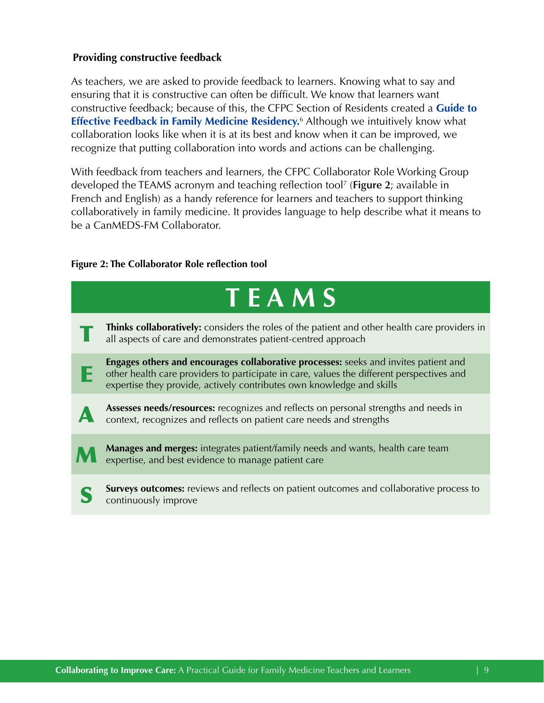# <span id="page-8-0"></span>**Providing constructive feedback**

As teachers, we are asked to provide feedback to learners. Knowing what to say and ensuring that it is constructive can often be difficult. We know that learners want constructive feedback; because of this, the CFPC Section of Residents created a **[Guide to](http://www.cfpc.ca/uploadedFiles/Directories/Sections/Section_of_Residents/GIFT%20Handout%20May%2020%20English.pdf)  [Effective Feedback in Family Medicine Residency](http://www.cfpc.ca/uploadedFiles/Directories/Sections/Section_of_Residents/GIFT%20Handout%20May%2020%20English.pdf).** [6](#page-34-0) Although we intuitively know what collaboration looks like when it is at its best and know when it can be improved, we recognize that putting collaboration into words and actions can be challenging.

With feedback from teachers and learners, the CFPC Collaborator Role Working Group developed the TEAMS acronym and teaching reflection tool[7](#page-34-0) (**Figure 2**; available in French and English) as a handy reference for learners and teachers to support thinking collaboratively in family medicine. It provides language to help describe what it means to be a CanMEDS-FM Collaborator.

# **Figure 2: The Collaborator Role reflection tool**

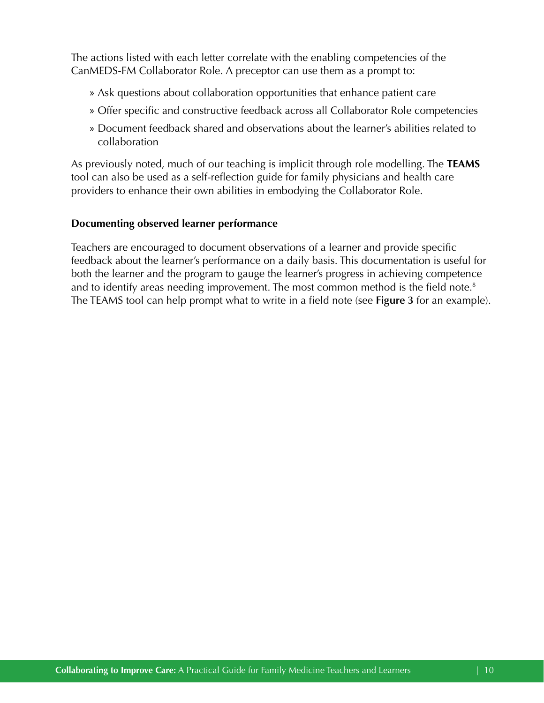<span id="page-9-0"></span>The actions listed with each letter correlate with the enabling competencies of the CanMEDS-FM Collaborator Role. A preceptor can use them as a prompt to:

- » Ask questions about collaboration opportunities that enhance patient care
- » Offer specific and constructive feedback across all Collaborator Role competencies
- » Document feedback shared and observations about the learner's abilities related to collaboration

As previously noted, much of our teaching is implicit through role modelling. The **TEAMS**  tool can also be used as a self-reflection guide for family physicians and health care providers to enhance their own abilities in embodying the Collaborator Role.

# **Documenting observed learner performance**

Teachers are encouraged to document observations of a learner and provide specific feedback about the learner's performance on a daily basis. This documentation is useful for both the learner and the program to gauge the learner's progress in achieving competence and to identify areas needing improvement. The most common method is the field note.<sup>8</sup> The TEAMS tool can help prompt what to write in a field note (see **Figure 3** for an example).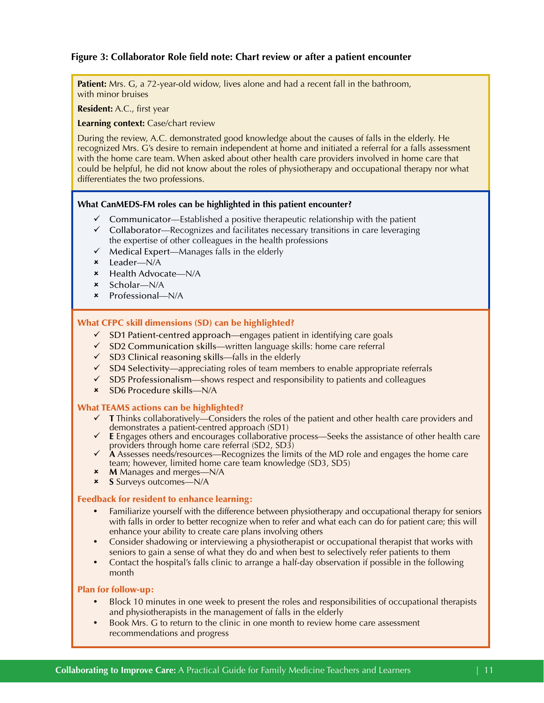# <span id="page-10-0"></span>**Figure 3: Collaborator Role field note: Chart review or after a patient encounter**

**Patient:** Mrs. G, a 72-year-old widow, lives alone and had a recent fall in the bathroom, with minor bruises

**Resident:** A.C., first year

**Learning context:** Case/chart review

During the review, A.C. demonstrated good knowledge about the causes of falls in the elderly. He recognized Mrs. G's desire to remain independent at home and initiated a referral for a falls assessment with the home care team. When asked about other health care providers involved in home care that could be helpful, he did not know about the roles of physiotherapy and occupational therapy nor what differentiates the two professions.

#### **What CanMEDS-FM roles can be highlighted in this patient encounter?**

- Communicator—Established a positive therapeutic relationship with the patient
- $\checkmark$  Collaborator—Recognizes and facilitates necessary transitions in care leveraging the expertise of other colleagues in the health professions
- $\checkmark$  Medical Expert—Manages falls in the elderly
- 8 Leader—N/A
- 8 Health Advocate—N/A
- $\star$  Scholar—N/A
- 8 Professional—N/A

#### What CFPC skill dimensions (SD) can be highlighted?

- $\checkmark$  SD1 Patient-centred approach—engages patient in identifying care goals
- $\checkmark$  SD2 Communication skills—written language skills: home care referral
- $\checkmark$  SD3 Clinical reasoning skills—falls in the elderly
- $\checkmark$  SD4 Selectivity—appreciating roles of team members to enable appropriate referrals
- $\checkmark$  SD5 Professionalism—shows respect and responsibility to patients and colleagues
- 8 SD6 Procedure skills—N/A

#### What TEAMS actions can be highlighted?

- $\checkmark$  **T** Thinks collaboratively—Considers the roles of the patient and other health care providers and demonstrates a patient-centred approach (SD1)
- **E** Engages others and encourages collaborative process—Seeks the assistance of other health care providers through home care referral (SD2, SD3)
- **A** Assesses needs/resources—Recognizes the limits of the MD role and engages the home care team; however, limited home care team knowledge (SD3, SD5)
- 8 **M** Manages and merges—N/A
- 8 **S** Surveys outcomes—N/A

#### Feedback for resident to enhance learning:

- Familiarize yourself with the difference between physiotherapy and occupational therapy for seniors with falls in order to better recognize when to refer and what each can do for patient care; this will enhance your ability to create care plans involving others
- Consider shadowing or interviewing a physiotherapist or occupational therapist that works with seniors to gain a sense of what they do and when best to selectively refer patients to them
- Contact the hospital's falls clinic to arrange a half-day observation if possible in the following month

#### Plan for follow-up:

- y Block 10 minutes in one week to present the roles and responsibilities of occupational therapists and physiotherapists in the management of falls in the elderly
- Book Mrs. G to return to the clinic in one month to review home care assessment recommendations and progress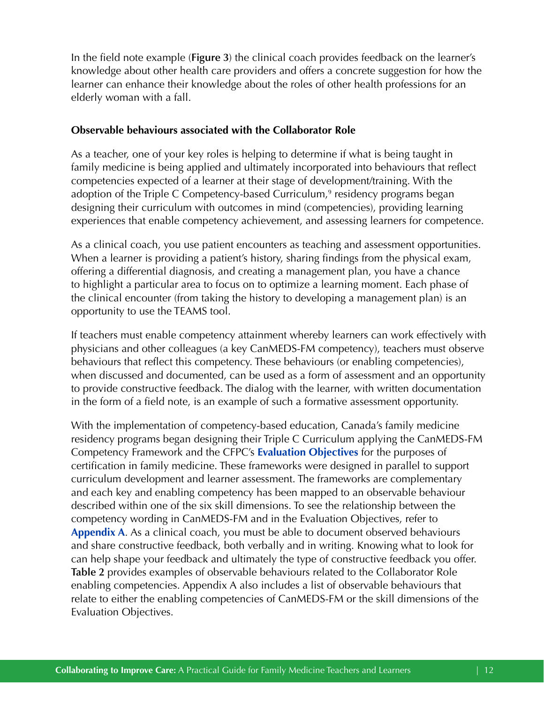<span id="page-11-0"></span>In the field note example (**Figure 3**) the clinical coach provides feedback on the learner's knowledge about other health care providers and offers a concrete suggestion for how the learner can enhance their knowledge about the roles of other health professions for an elderly woman with a fall.

# **Observable behaviours associated with the Collaborator Role**

As a teacher, one of your key roles is helping to determine if what is being taught in family medicine is being applied and ultimately incorporated into behaviours that reflect competencies expected of a learner at their stage of development/training. With the adoption of the Triple C Competency-based Curriculum,<sup>9</sup> residency programs began designing their curriculum with outcomes in mind (competencies), providing learning experiences that enable competency achievement, and assessing learners for competence.

As a clinical coach, you use patient encounters as teaching and assessment opportunities. When a learner is providing a patient's history, sharing findings from the physical exam, offering a differential diagnosis, and creating a management plan, you have a chance to highlight a particular area to focus on to optimize a learning moment. Each phase of the clinical encounter (from taking the history to developing a management plan) is an opportunity to use the TEAMS tool.

If teachers must enable competency attainment whereby learners can work effectively with physicians and other colleagues (a key CanMEDS-FM competency), teachers must observe behaviours that reflect this competency. These behaviours (or enabling competencies), when discussed and documented, can be used as a form of assessment and an opportunity to provide constructive feedback. The dialog with the learner, with written documentation in the form of a field note, is an example of such a formative assessment opportunity.

With the implementation of competency-based education, Canada's family medicine residency programs began designing their Triple C Curriculum applying the CanMEDS-FM Competency Framework and the CFPC's **[Evaluation Objectives](http://www.cfpc.ca/EvaluationObjectives/)** for the purposes of certification in family medicine. These frameworks were designed in parallel to support curriculum development and learner assessment. The frameworks are complementary and each key and enabling competency has been mapped to an observable behaviour described within one of the six skill dimensions. To see the relationship between the competency wording in CanMEDS-FM and in the Evaluation Objectives, refer to **[Appendix A](#page-19-0)**. As a clinical coach, you must be able to document observed behaviours and share constructive feedback, both verbally and in writing. Knowing what to look for can help shape your feedback and ultimately the type of constructive feedback you offer. **Table 2** provides examples of observable behaviours related to the Collaborator Role enabling competencies. Appendix A also includes a list of observable behaviours that relate to either the enabling competencies of CanMEDS-FM or the skill dimensions of the Evaluation Objectives.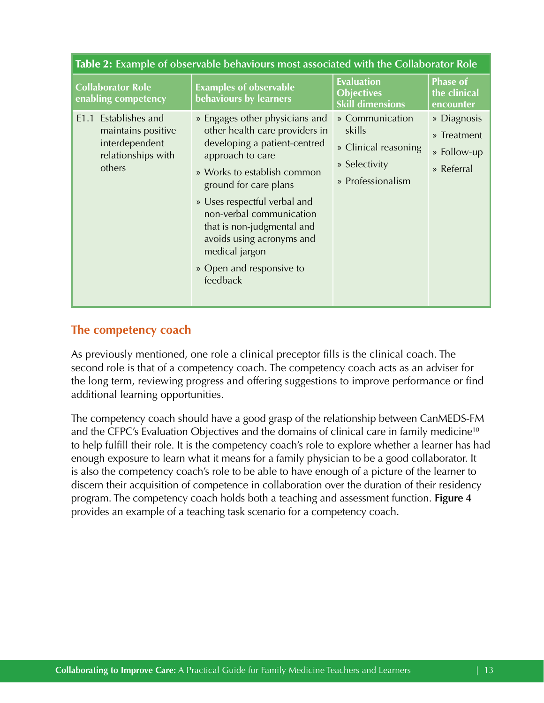<span id="page-12-0"></span>

| Table 2: Example of observable behaviours most associated with the Collaborator Role            |                                                                                                                                                                                                                                                                                                                                                               |                                                                                         |                                                         |
|-------------------------------------------------------------------------------------------------|---------------------------------------------------------------------------------------------------------------------------------------------------------------------------------------------------------------------------------------------------------------------------------------------------------------------------------------------------------------|-----------------------------------------------------------------------------------------|---------------------------------------------------------|
| <b>Collaborator Role</b><br>enabling competency                                                 | <b>Examples of observable</b><br>behaviours by learners                                                                                                                                                                                                                                                                                                       | <b>Evaluation</b><br><b>Objectives</b><br><b>Skill dimensions</b>                       | <b>Phase of</b><br>the clinical<br>encounter            |
| Establishes and<br>E1.1<br>maintains positive<br>interdependent<br>relationships with<br>others | » Engages other physicians and<br>other health care providers in<br>developing a patient-centred<br>approach to care<br>» Works to establish common<br>ground for care plans<br>» Uses respectful verbal and<br>non-verbal communication<br>that is non-judgmental and<br>avoids using acronyms and<br>medical jargon<br>» Open and responsive to<br>feedback | » Communication<br>skills<br>» Clinical reasoning<br>» Selectivity<br>» Professionalism | » Diagnosis<br>» Treatment<br>» Follow-up<br>» Referral |

# **The competency coach**

As previously mentioned, one role a clinical preceptor fills is the clinical coach. The second role is that of a competency coach. The competency coach acts as an adviser for the long term, reviewing progress and offering suggestions to improve performance or find additional learning opportunities.

The competency coach should have a good grasp of the relationship between CanMEDS-FM and the CFPC's Evaluation Objectives and the domains of clinical care in family medicine<sup>10</sup> to help fulfill their role. It is the competency coach's role to explore whether a learner has had enough exposure to learn what it means for a family physician to be a good collaborator. It is also the competency coach's role to be able to have enough of a picture of the learner to discern their acquisition of competence in collaboration over the duration of their residency program. The competency coach holds both a teaching and assessment function. **Figure 4**  provides an example of a teaching task scenario for a competency coach.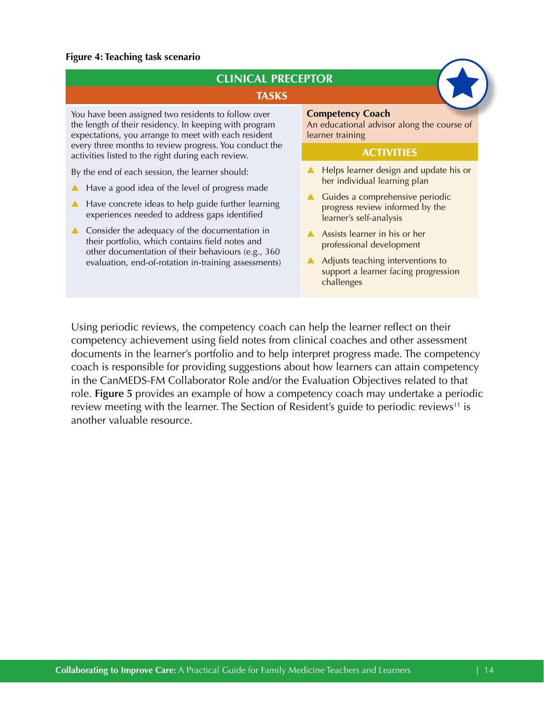# <span id="page-13-0"></span>**Figure 4: Teaching task scenario**

| <b>TASKS</b><br>You have been assigned two residents to follow over<br>the length of their residency. In keeping with program<br>expectations, you arrange to meet with each resident<br>every three months to review progress. You conduct the<br>activities listed to the right during each review.<br>By the end of each session, the learner should:<br>Have a good idea of the level of progress made<br>Have concrete ideas to help guide further learning<br>$\blacktriangle$<br>experiences needed to address gaps identified<br>Consider the adequacy of the documentation in<br>$\blacktriangle$ | <b>Competency Coach</b><br>An educational advisor along the course of                                                                                                                                                                                                                                                           |
|------------------------------------------------------------------------------------------------------------------------------------------------------------------------------------------------------------------------------------------------------------------------------------------------------------------------------------------------------------------------------------------------------------------------------------------------------------------------------------------------------------------------------------------------------------------------------------------------------------|---------------------------------------------------------------------------------------------------------------------------------------------------------------------------------------------------------------------------------------------------------------------------------------------------------------------------------|
|                                                                                                                                                                                                                                                                                                                                                                                                                                                                                                                                                                                                            |                                                                                                                                                                                                                                                                                                                                 |
|                                                                                                                                                                                                                                                                                                                                                                                                                                                                                                                                                                                                            | learner training                                                                                                                                                                                                                                                                                                                |
|                                                                                                                                                                                                                                                                                                                                                                                                                                                                                                                                                                                                            | <b>ACTIVITIES</b>                                                                                                                                                                                                                                                                                                               |
| their portfolio, which contains field notes and<br>other documentation of their behaviours (e.g., 360<br>evaluation, end-of-rotation in-training assessments)                                                                                                                                                                                                                                                                                                                                                                                                                                              | Helps learner design and update his or<br>her individual learning plan<br>Guides a comprehensive periodic<br>progress review informed by the<br>learner's self-analysis<br>Assists learner in his or her<br>professional development<br>Adjusts teaching interventions to<br>support a learner facing progression<br>challenges |

Using periodic reviews, the competency coach can help the learner reflect on their competency achievement using field notes from clinical coaches and other assessment documents in the learner's portfolio and to help interpret progress made. The competency coach is responsible for providing suggestions about how learners can attain competency in the CanMEDS-FM Collaborator Role and/or the Evaluation Objectives related to that role. **Figure 5** provides an example of how a competency coach may undertake a periodic review meeting with the learner. The Section of Resident's guide to periodic reviews<sup>11</sup> is another valuable resource.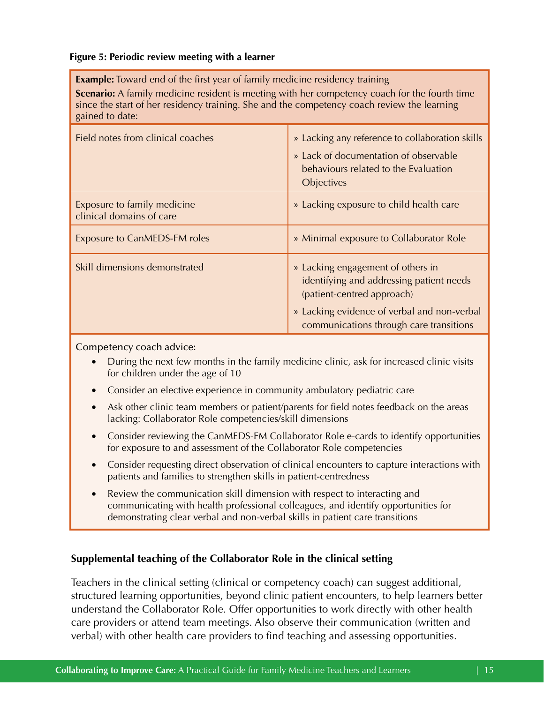# <span id="page-14-0"></span> **Figure 5: Periodic review meeting with a learner**

**Example:** Toward end of the first year of family medicine residency training

**Scenario:** A family medicine resident is meeting with her competency coach for the fourth time since the start of her residency training. She and the competency coach review the learning gained to date:

| Field notes from clinical coaches                       | » Lacking any reference to collaboration skills<br>» Lack of documentation of observable<br>behaviours related to the Evaluation<br>Objectives                                                        |
|---------------------------------------------------------|-------------------------------------------------------------------------------------------------------------------------------------------------------------------------------------------------------|
| Exposure to family medicine<br>clinical domains of care | » Lacking exposure to child health care                                                                                                                                                               |
| <b>Exposure to CanMEDS-FM roles</b>                     | » Minimal exposure to Collaborator Role                                                                                                                                                               |
| Skill dimensions demonstrated                           | » Lacking engagement of others in<br>identifying and addressing patient needs<br>(patient-centred approach)<br>» Lacking evidence of verbal and non-verbal<br>communications through care transitions |

Competency coach advice:

- During the next few months in the family medicine clinic, ask for increased clinic visits for children under the age of 10
- Consider an elective experience in community ambulatory pediatric care
- Ask other clinic team members or patient/parents for field notes feedback on the areas lacking: Collaborator Role competencies/skill dimensions
- Consider reviewing the CanMEDS-FM Collaborator Role e-cards to identify opportunities for exposure to and assessment of the Collaborator Role competencies
- Consider requesting direct observation of clinical encounters to capture interactions with patients and families to strengthen skills in patient-centredness
- Review the communication skill dimension with respect to interacting and communicating with health professional colleagues, and identify opportunities for demonstrating clear verbal and non-verbal skills in patient care transitions

# **Supplemental teaching of the Collaborator Role in the clinical setting**

Teachers in the clinical setting (clinical or competency coach) can suggest additional, structured learning opportunities, beyond clinic patient encounters, to help learners better understand the Collaborator Role. Offer opportunities to work directly with other health care providers or attend team meetings. Also observe their communication (written and verbal) with other health care providers to find teaching and assessing opportunities.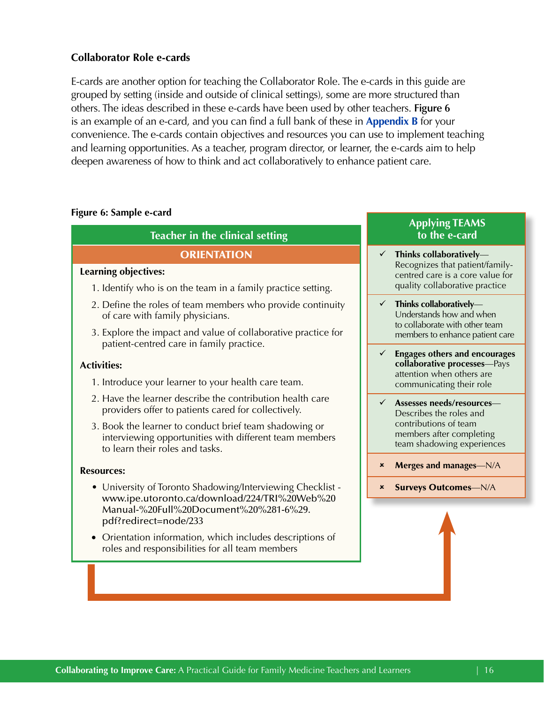# <span id="page-15-0"></span>**Collaborator Role e-cards**

E-cards are another option for teaching the Collaborator Role. The e-cards in this guide are grouped by setting (inside and outside of clinical settings), some are more structured than others. The ideas described in these e-cards have been used by other teachers. **Figure 6**  is an example of an e-card, and you can find a full bank of these in **[Appendix B](#page-22-0)** for your convenience. The e-cards contain objectives and resources you can use to implement teaching and learning opportunities. As a teacher, program director, or learner, the e-cards aim to help deepen awareness of how to think and act collaboratively to enhance patient care.

# **Figure 6: Sample e-card**

# **Teacher in the clinical setting**

# **ORIENTATION**

# **Learning objectives:**

- 1. Identify who is on the team in a family practice setting.
- 2. Define the roles of team members who provide continuity of care with family physicians.
- 3. Explore the impact and value of collaborative practice for patient-centred care in family practice.

# **Activities:**

- 1. Introduce your learner to your health care team.
- 2. Have the learner describe the contribution health care providers offer to patients cared for collectively.
- 3. Book the learner to conduct brief team shadowing or interviewing opportunities with different team members to learn their roles and tasks.

# **Resources:**

- University of Toronto Shadowing/Interviewing Checklist [www.ipe.utoronto.ca/download/224/TRI%20Web%20](http://www.ipe.utoronto.ca/download/224/TRI%20Web%20Manual-%20Full%20Document%20%281-6%29.pdf?redirect=node/233)  [Manual-%20Full%20Document%20%281-6%29.](http://www.ipe.utoronto.ca/download/224/TRI%20Web%20Manual-%20Full%20Document%20%281-6%29.pdf?redirect=node/233)  [pdf?redirect=node/233](http://www.ipe.utoronto.ca/download/224/TRI%20Web%20Manual-%20Full%20Document%20%281-6%29.pdf?redirect=node/233)
- Orientation information, which includes descriptions of roles and responsibilities for all team members

# **Applying TEAMS to the e-card**

- T**hinks collaboratively** Recognizes that patient/familycentred care is a core value for quality collaborative practice
- T**hinks collaboratively** Understands how and when to collaborate with other team members to enhance patient care
- E**ngages others and encourages collaborative processes**—Pays attention when others are communicating their role
- A**ssesses needs/resources** Describes the roles and contributions of team members after completing team shadowing experiences
- 8 M**erges and manages**—N/A
- 8 Surveys Outcomes—N/A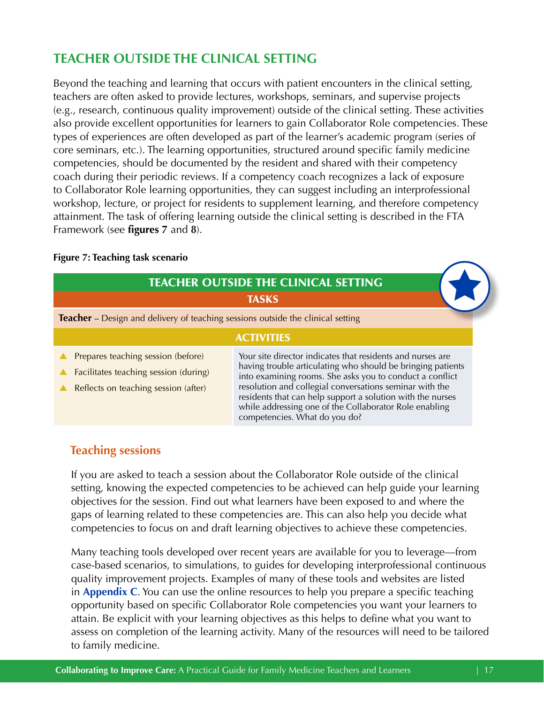# <span id="page-16-0"></span>**TEACHER OUTSIDE THE CLINICAL SETTING**

Beyond the teaching and learning that occurs with patient encounters in the clinical setting, teachers are often asked to provide lectures, workshops, seminars, and supervise projects (e.g., research, continuous quality improvement) outside of the clinical setting. These activities also provide excellent opportunities for learners to gain Collaborator Role competencies. These types of experiences are often developed as part of the learner's academic program (series of core seminars, etc.). The learning opportunities, structured around specific family medicine competencies, should be documented by the resident and shared with their competency coach during their periodic reviews. If a competency coach recognizes a lack of exposure to Collaborator Role learning opportunities, they can suggest including an interprofessional workshop, lecture, or project for residents to supplement learning, and therefore competency attainment. The task of offering learning outside the clinical setting is described in the FTA Framework (see **figures 7** and **8**).

# **Figure 7: Teaching task scenario**

|                                                                                                                     | <b>TEACHER OUTSIDE THE CLINICAL SETTING</b>                                                                                                                                                                                                                                                                                                                                                               |  |  |
|---------------------------------------------------------------------------------------------------------------------|-----------------------------------------------------------------------------------------------------------------------------------------------------------------------------------------------------------------------------------------------------------------------------------------------------------------------------------------------------------------------------------------------------------|--|--|
|                                                                                                                     | <b>TASKS</b>                                                                                                                                                                                                                                                                                                                                                                                              |  |  |
| Teacher - Design and delivery of teaching sessions outside the clinical setting                                     |                                                                                                                                                                                                                                                                                                                                                                                                           |  |  |
| <b>ACTIVITIES</b>                                                                                                   |                                                                                                                                                                                                                                                                                                                                                                                                           |  |  |
| Prepares teaching session (before)<br>Facilitates teaching session (during)<br>Reflects on teaching session (after) | Your site director indicates that residents and nurses are<br>having trouble articulating who should be bringing patients<br>into examining rooms. She asks you to conduct a conflict<br>resolution and collegial conversations seminar with the<br>residents that can help support a solution with the nurses<br>while addressing one of the Collaborator Role enabling<br>competencies. What do you do? |  |  |

# **Teaching sessions**

If you are asked to teach a session about the Collaborator Role outside of the clinical setting, knowing the expected competencies to be achieved can help guide your learning objectives for the session. Find out what learners have been exposed to and where the gaps of learning related to these competencies are. This can also help you decide what competencies to focus on and draft learning objectives to achieve these competencies.

Many teaching tools developed over recent years are available for you to leverage—from case-based scenarios, to simulations, to guides for developing interprofessional continuous quality improvement projects. Examples of many of these tools and websites are listed in **[Appendix C](#page-33-0)**. You can use the online resources to help you prepare a specific teaching opportunity based on specific Collaborator Role competencies you want your learners to attain. Be explicit with your learning objectives as this helps to define what you want to assess on completion of the learning activity. Many of the resources will need to be tailored to family medicine.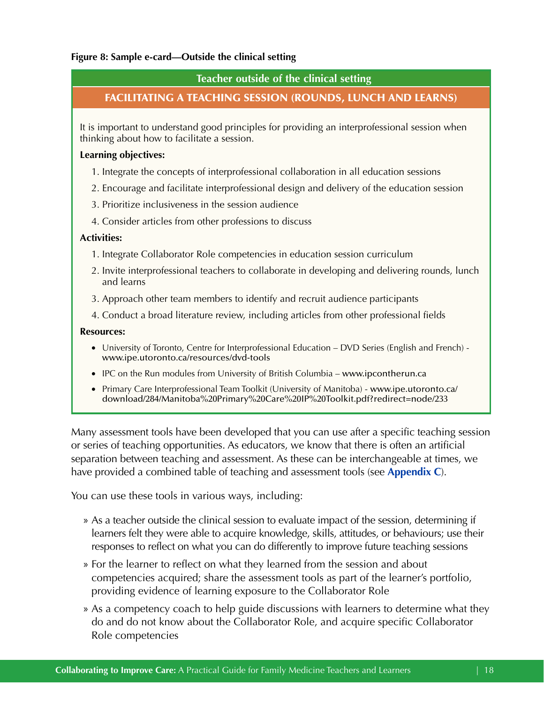# **Figure 8: Sample e-card—Outside the clinical setting**

# **Teacher outside of the clinical setting**

# FACILITATING A TEACHING SESSION (ROUNDS, LUNCH AND LEARNS)

It is important to understand good principles for providing an interprofessional session when thinking about how to facilitate a session.

# **Learning objectives:**

- 1. Integrate the concepts of interprofessional collaboration in all education sessions
- 2. Encourage and facilitate interprofessional design and delivery of the education session
- 3. Prioritize inclusiveness in the session audience
- 4. Consider articles from other professions to discuss

# **Activities:**

- 1. Integrate Collaborator Role competencies in education session curriculum
- 2. Invite interprofessional teachers to collaborate in developing and delivering rounds, lunch and learns
- 3. Approach other team members to identify and recruit audience participants
- 4. Conduct a broad literature review, including articles from other professional fields

# **Resources:**

- University of Toronto, Centre for Interprofessional Education DVD Series (English and French) www.ipe.utoronto.ca/resources/dvd-tools
- IPC on the Run modules from University of British Columbia www.ipcontherun.ca
- Primary Care Interprofessional Team Toolkit (University of Manitoba) www.ipe.utoronto.ca/ download/284/Manitoba%20Primary%20Care%20IP%20Toolkit.pdf?redirect=node/233

Many assessment tools have been developed that you can use after a specific teaching session or series of teaching opportunities. As educators, we know that there is often an artificial separation between teaching and assessment. As these can be interchangeable at times, we have provided a combined table of teaching and assessment tools (see **[Appendix C](#page-33-0)**).

You can use these tools in various ways, including:

- » As a teacher outside the clinical session to evaluate impact of the session, determining if learners felt they were able to acquire knowledge, skills, attitudes, or behaviours; use their responses to reflect on what you can do differently to improve future teaching sessions
- » For the learner to reflect on what they learned from the session and about competencies acquired; share the assessment tools as part of the learner's portfolio, providing evidence of learning exposure to the Collaborator Role
- » As a competency coach to help guide discussions with learners to determine what they do and do not know about the Collaborator Role, and acquire specific Collaborator Role competencies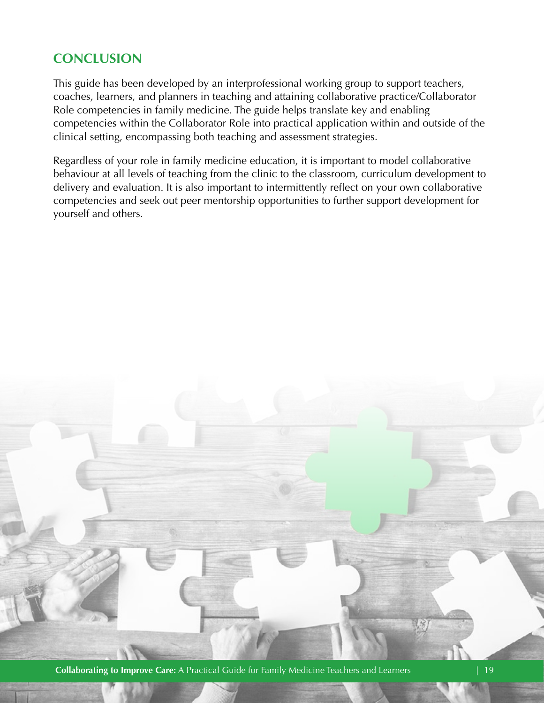# <span id="page-18-0"></span>**CONCLUSION**

This guide has been developed by an interprofessional working group to support teachers, coaches, learners, and planners in teaching and attaining collaborative practice/Collaborator Role competencies in family medicine. The guide helps translate key and enabling competencies within the Collaborator Role into practical application within and outside of the clinical setting, encompassing both teaching and assessment strategies.

Regardless of your role in family medicine education, it is important to model collaborative behaviour at all levels of teaching from the clinic to the classroom, curriculum development to delivery and evaluation. It is also important to intermittently reflect on your own collaborative competencies and seek out peer mentorship opportunities to further support development for yourself and others.

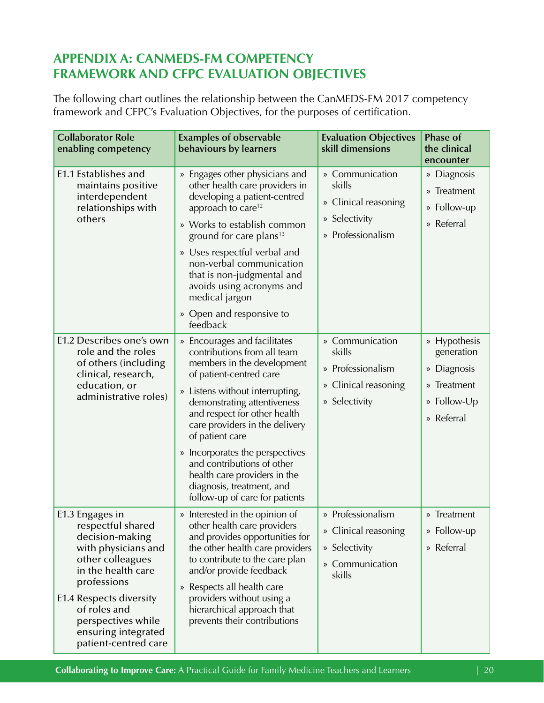# <span id="page-19-0"></span>**APPENDIX A: CANMEDS-FM COMPETENCY FRAMEWORK AND CFPC EVALUATION OBJECTIVES**

The following chart outlines the relationship between the CanMEDS-FM 2017 competency framework and CFPC's Evaluation Objectives, for the purposes of certification.

| <b>Collaborator Role</b><br>enabling competency                                                                                                                                                                                                         | <b>Examples of observable</b><br>behaviours by learners                                                                                                                                                                                                                                                                                                                                                                                     | <b>Evaluation Objectives</b><br>skill dimensions                                        | Phase of<br>the clinical<br>encounter                                                 |
|---------------------------------------------------------------------------------------------------------------------------------------------------------------------------------------------------------------------------------------------------------|---------------------------------------------------------------------------------------------------------------------------------------------------------------------------------------------------------------------------------------------------------------------------------------------------------------------------------------------------------------------------------------------------------------------------------------------|-----------------------------------------------------------------------------------------|---------------------------------------------------------------------------------------|
| E1.1 Establishes and<br>maintains positive<br>interdependent<br>relationships with<br>others                                                                                                                                                            | » Engages other physicians and<br>other health care providers in<br>developing a patient-centred<br>approach to care <sup>12</sup><br>» Works to establish common<br>ground for care plans <sup>13</sup><br>» Uses respectful verbal and<br>non-verbal communication<br>that is non-judgmental and<br>avoids using acronyms and<br>medical jargon<br>» Open and responsive to<br>feedback                                                   | » Communication<br>skills<br>» Clinical reasoning<br>» Selectivity<br>» Professionalism | » Diagnosis<br>» Treatment<br>» Follow-up<br>» Referral                               |
| E1.2 Describes one's own<br>role and the roles<br>of others (including<br>clinical, research,<br>education, or<br>administrative roles)                                                                                                                 | » Encourages and facilitates<br>contributions from all team<br>members in the development<br>of patient-centred care<br>» Listens without interrupting,<br>demonstrating attentiveness<br>and respect for other health<br>care providers in the delivery<br>of patient care<br>» Incorporates the perspectives<br>and contributions of other<br>health care providers in the<br>diagnosis, treatment, and<br>follow-up of care for patients | » Communication<br>skills<br>» Professionalism<br>» Clinical reasoning<br>» Selectivity | » Hypothesis<br>generation<br>» Diagnosis<br>» Treatment<br>» Follow-Up<br>» Referral |
| E1.3 Engages in<br>respectful shared<br>decision-making<br>with physicians and<br>other colleagues<br>in the health care<br>professions<br>E1.4 Respects diversity<br>of roles and<br>perspectives while<br>ensuring integrated<br>patient-centred care | » Interested in the opinion of<br>other health care providers<br>and provides opportunities for<br>the other health care providers<br>to contribute to the care plan<br>and/or provide feedback<br>» Respects all health care<br>providers without using a<br>hierarchical approach that<br>prevents their contributions                                                                                                                    | » Professionalism<br>» Clinical reasoning<br>» Selectivity<br>» Communication<br>skills | » Treatment<br>» Follow-up<br>» Referral                                              |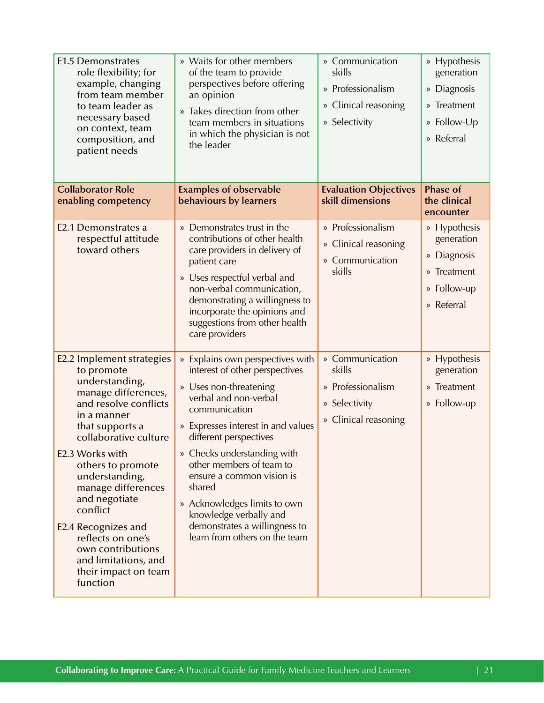| <b>E1.5 Demonstrates</b><br>role flexibility; for<br>example, changing<br>from team member<br>to team leader as<br>necessary based<br>on context, team<br>composition, and<br>patient needs                                                                                                                                                                                                                    | » Waits for other members<br>of the team to provide<br>perspectives before offering<br>an opinion<br>» Takes direction from other<br>team members in situations<br>in which the physician is not<br>the leader                                                                                                                                                                                                                       | » Communication<br>skills<br>» Professionalism<br>» Clinical reasoning<br>» Selectivity | » Hypothesis<br>generation<br>» Diagnosis<br>» Treatment<br>» Follow-Up<br>» Referral |
|----------------------------------------------------------------------------------------------------------------------------------------------------------------------------------------------------------------------------------------------------------------------------------------------------------------------------------------------------------------------------------------------------------------|--------------------------------------------------------------------------------------------------------------------------------------------------------------------------------------------------------------------------------------------------------------------------------------------------------------------------------------------------------------------------------------------------------------------------------------|-----------------------------------------------------------------------------------------|---------------------------------------------------------------------------------------|
| <b>Collaborator Role</b><br>enabling competency                                                                                                                                                                                                                                                                                                                                                                | <b>Examples of observable</b><br>behaviours by learners                                                                                                                                                                                                                                                                                                                                                                              | <b>Evaluation Objectives</b><br>skill dimensions                                        | <b>Phase of</b><br>the clinical<br>encounter                                          |
| E2.1 Demonstrates a<br>respectful attitude<br>toward others                                                                                                                                                                                                                                                                                                                                                    | » Demonstrates trust in the<br>contributions of other health<br>care providers in delivery of<br>patient care<br>» Uses respectful verbal and<br>non-verbal communication,<br>demonstrating a willingness to<br>incorporate the opinions and<br>suggestions from other health<br>care providers                                                                                                                                      | » Professionalism<br>» Clinical reasoning<br>» Communication<br>skills                  | » Hypothesis<br>generation<br>» Diagnosis<br>» Treatment<br>» Follow-up<br>» Referral |
| E2.2 Implement strategies<br>to promote<br>understanding,<br>manage differences,<br>and resolve conflicts<br>in a manner<br>that supports a<br>collaborative culture<br>E2.3 Works with<br>others to promote<br>understanding,<br>manage differences<br>and negotiate<br>conflict<br>E2.4 Recognizes and<br>reflects on one's<br>own contributions<br>and limitations, and<br>their impact on team<br>function | » Explains own perspectives with<br>interest of other perspectives<br>» Uses non-threatening<br>verbal and non-verbal<br>communication<br>» Expresses interest in and values<br>different perspectives<br>» Checks understanding with<br>other members of team to<br>ensure a common vision is<br>shared<br>» Acknowledges limits to own<br>knowledge verbally and<br>demonstrates a willingness to<br>learn from others on the team | » Communication<br>skills<br>» Professionalism<br>» Selectivity<br>» Clinical reasoning | » Hypothesis<br>generation<br>» Treatment<br>» Follow-up                              |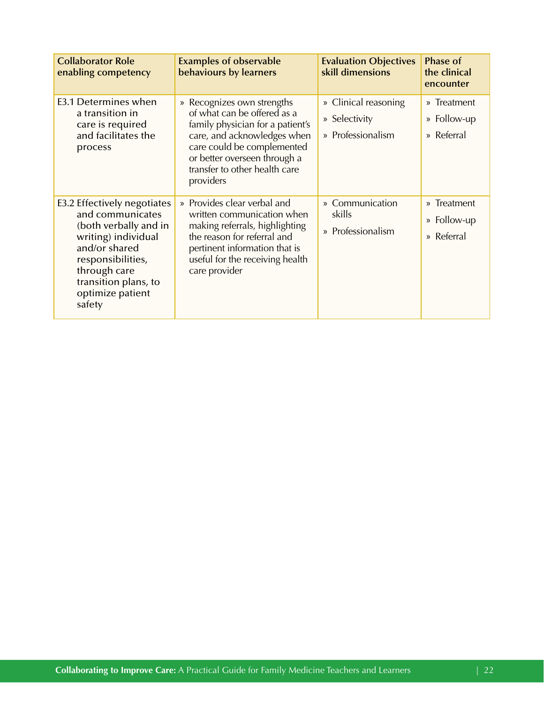| <b>Collaborator Role</b><br>enabling competency                                                                                                                                                             | <b>Examples of observable</b><br>behaviours by learners                                                                                                                                                                                  | <b>Evaluation Objectives</b><br>skill dimensions           | <b>Phase of</b><br>the clinical<br>encounter |
|-------------------------------------------------------------------------------------------------------------------------------------------------------------------------------------------------------------|------------------------------------------------------------------------------------------------------------------------------------------------------------------------------------------------------------------------------------------|------------------------------------------------------------|----------------------------------------------|
| E3.1 Determines when<br>a transition in<br>care is required<br>and facilitates the<br>process                                                                                                               | » Recognizes own strengths<br>of what can be offered as a<br>family physician for a patient's<br>care, and acknowledges when<br>care could be complemented<br>or better overseen through a<br>transfer to other health care<br>providers | » Clinical reasoning<br>» Selectivity<br>» Professionalism | » Treatment<br>» Follow-up<br>» Referral     |
| E3.2 Effectively negotiates<br>and communicates<br>(both verbally and in<br>writing) individual<br>and/or shared<br>responsibilities,<br>through care<br>transition plans, to<br>optimize patient<br>safety | » Provides clear verbal and<br>written communication when<br>making referrals, highlighting<br>the reason for referral and<br>pertinent information that is<br>useful for the receiving health<br>care provider                          | » Communication<br>skills<br>» Professionalism             | » Treatment<br>» Follow-up<br>» Referral     |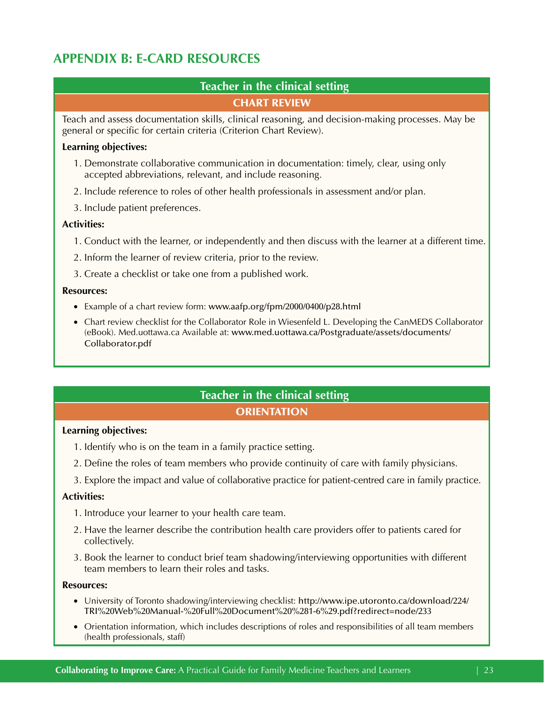# <span id="page-22-0"></span>**APPENDIX B: E-CARD RESOURCES**

# **Teacher in the clinical setting**  CHART REVIEW

Teach and assess documentation skills, clinical reasoning, and decision-making processes. May be general or specific for certain criteria (Criterion Chart Review).

# **Learning objectives:**

- 1. Demonstrate collaborative communication in documentation: timely, clear, using only accepted abbreviations, relevant, and include reasoning.
- 2. Include reference to roles of other health professionals in assessment and/or plan.
- 3. Include patient preferences.

# **Activities:**

- 1. Conduct with the learner, or independently and then discuss with the learner at a different time.
- 2. Inform the learner of review criteria, prior to the review.
- 3. Create a checklist or take one from a published work.

# **Resources:**

- Example of a chart review form: www.aafp.org/fpm/2000/0400/p28.html
- Chart review checklist for the Collaborator Role in Wiesenfeld L. Developing the CanMEDS Collaborator (eBook). Med.uottawa.ca Available at: [www.med.uottawa.ca/Postgraduate/assets/documents/](http://www.med.uottawa.ca/Postgraduate/assets/documents/Collaborator.pdf)  [Collaborator.pdf](http://www.med.uottawa.ca/Postgraduate/assets/documents/Collaborator.pdf)

# **Teacher in the clinical setting ORIENTATION**

# **Learning objectives:**

- 1. Identify who is on the team in a family practice setting.
- 2. Define the roles of team members who provide continuity of care with family physicians.
- 3. Explore the impact and value of collaborative practice for patient-centred care in family practice.

# **Activities:**

- 1. Introduce your learner to your health care team.
- 2. Have the learner describe the contribution health care providers offer to patients cared for collectively.
- 3. Book the learner to conduct brief team shadowing/interviewing opportunities with different team members to learn their roles and tasks.

# **Resources:**

- • University of Toronto shadowing/interviewing checklist: [http://www.ipe.utoronto.ca/download/224/](http://www.ipe.utoronto.ca/download/224/TRI%20Web%20Manual-%20Full%20Document%20%281-6%29.pdf?redirect=node/233)  [TRI%20Web%20Manual-%20Full%20Document%20%281-6%29.pdf?redirect=node/233](http://www.ipe.utoronto.ca/download/224/TRI%20Web%20Manual-%20Full%20Document%20%281-6%29.pdf?redirect=node/233)
- • Orientation information, which includes descriptions of roles and responsibilities of all team members (health professionals, staff)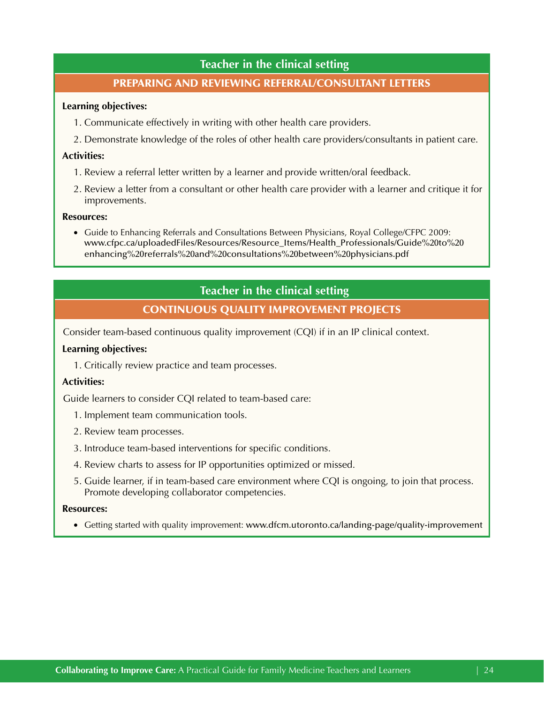# **Teacher in the clinical setting**

# PREPARING AND REVIEWING REFERRAL/CONSULTANT LETTERS

#### **Learning objectives:**

- 1. Communicate effectively in writing with other health care providers.
- 2. Demonstrate knowledge of the roles of other health care providers/consultants in patient care.

#### **Activities:**

- 1. Review a referral letter written by a learner and provide written/oral feedback.
- 2. Review a letter from a consultant or other health care provider with a learner and critique it for improvements.

#### **Resources:**

• Guide to Enhancing Referrals and Consultations Between Physicians, Royal College/CFPC 2009: [www.cfpc.ca/uploadedFiles/Resources/Resource\\_Items/Health\\_Professionals/Guide%20to%20](http://www.cfpc.ca/uploadedFiles/Resources/Resource_Items/Health_Professionals/Guide%20to%20enhancing%20referrals%20and%20consultations%20between%20physicians.pdf) [enhancing%20referrals%20and%20consultations%20between%20physicians.pdf](http://www.cfpc.ca/uploadedFiles/Resources/Resource_Items/Health_Professionals/Guide%20to%20enhancing%20referrals%20and%20consultations%20between%20physicians.pdf)

# **Teacher in the clinical setting**

# CONTINUOUS QUALITY IMPROVEMENT PROJECTS

Consider team-based continuous quality improvement (CQI) if in an IP clinical context.

#### **Learning objectives:**

1. Critically review practice and team processes.

#### **Activities:**

Guide learners to consider CQI related to team-based care:

- 1. Implement team communication tools.
- 2. Review team processes.
- 3. Introduce team-based interventions for specific conditions.
- 4. Review charts to assess for IP opportunities optimized or missed.
- 5. Guide learner, if in team-based care environment where CQI is ongoing, to join that process. Promote developing collaborator competencies.

#### **Resources:**

• Getting started with quality improvement: [www.dfcm.utoronto.ca/landing-page/quality-improvement](http://www.dfcm.utoronto.ca/landing-page/quality-improvement)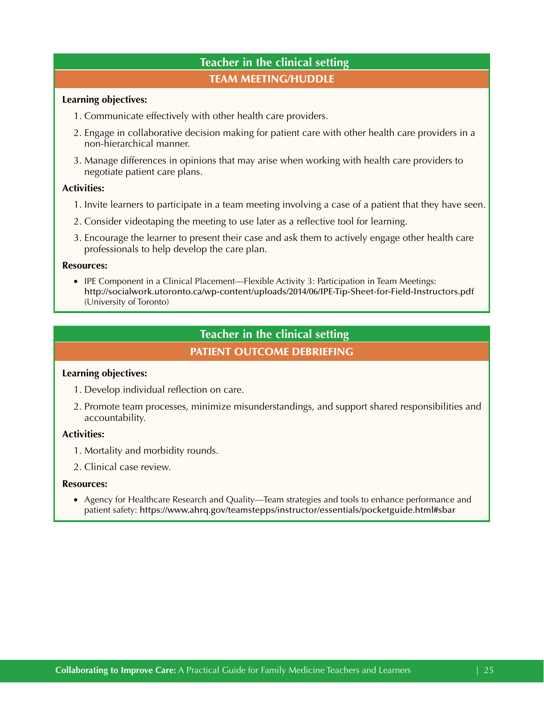# **Teacher in the clinical setting**  TEAM MEETING/HUDDLE

#### **Learning objectives:**

- 1. Communicate effectively with other health care providers.
- 2. Engage in collaborative decision making for patient care with other health care providers in a non-hierarchical manner.
- 3. Manage differences in opinions that may arise when working with health care providers to negotiate patient care plans.

# **Activities:**

- 1. Invite learners to participate in a team meeting involving a case of a patient that they have seen.
- 2. Consider videotaping the meeting to use later as a reflective tool for learning.
- 3. Encourage the learner to present their case and ask them to actively engage other health care professionals to help develop the care plan.

#### **Resources:**

• IPE Component in a Clinical Placement—Flexible Activity 3: Participation in Team Meetings: <http://socialwork.utoronto.ca/wp-content/uploads/2014/06/IPE-Tip-Sheet-for-Field-Instructors.pdf> (University of Toronto)

# **Teacher in the clinical setting**

# PATIENT OUTCOME DEBRIEFING

# **Learning objectives:**

- 1. Develop individual reflection on care.
- 2. Promote team processes, minimize misunderstandings, and support shared responsibilities and accountability.

# **Activities:**

- 1. Mortality and morbidity rounds.
- 2. Clinical case review.

#### **Resources:**

• Agency for Healthcare Research and Quality—Team strategies and tools to enhance performance and patient safety: https://www.ahrq.gov/teamstepps/instructor/essentials/pocketguide.html#sbar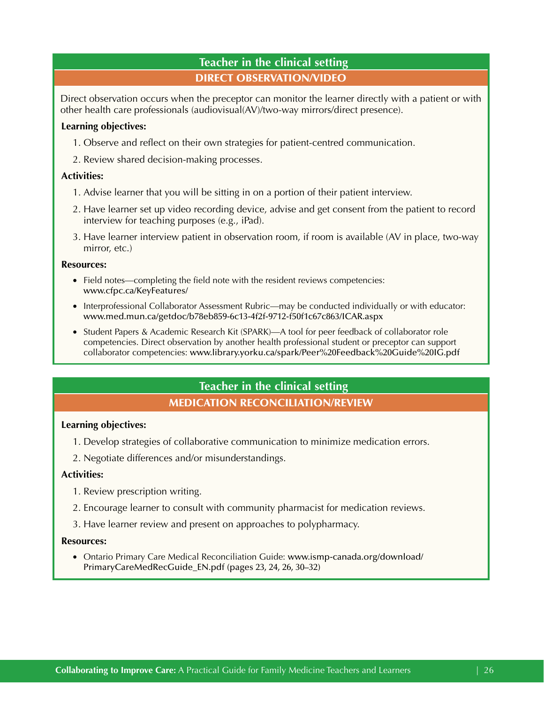# **Teacher in the clinical setting**  DIRECT OBSERVATION/VIDEO

Direct observation occurs when the preceptor can monitor the learner directly with a patient or with other health care professionals (audiovisual(AV)/two-way mirrors/direct presence).

# **Learning objectives:**

- 1. Observe and reflect on their own strategies for patient-centred communication.
- 2. Review shared decision-making processes.

# **Activities:**

- 1. Advise learner that you will be sitting in on a portion of their patient interview.
- 2. Have learner set up video recording device, advise and get consent from the patient to record interview for teaching purposes (e.g., iPad).
- 3. Have learner interview patient in observation room, if room is available (AV in place, two-way mirror, etc.)

# **Resources:**

- Field notes—completing the field note with the resident reviews competencies: [www.cfpc.ca/KeyFeatures/](http://www.cfpc.ca/KeyFeatures/)
- Interprofessional Collaborator Assessment Rubric—may be conducted individually or with educator: [www.med.mun.ca/getdoc/b78eb859-6c13-4f2f-9712-f50f1c67c863/ICAR.aspx](https://www.med.mun.ca/getdoc/b78eb859-6c13-4f2f-9712-f50f1c67c863/ICAR.aspx)
- • Student Papers & Academic Research Kit (SPARK)—A tool for peer feedback of collaborator role competencies. Direct observation by another health professional student or preceptor can support collaborator competencies: [www.library.yorku.ca/spark/Peer%20Feedback%20Guide%20IG.pdf](https://www.library.yorku.ca/spark/Peer%20Feedback%20Guide%20IG.pdf)

# **Teacher in the clinical setting**  MEDICATION RECONCILIATION/REVIEW

# **Learning objectives:**

- 1. Develop strategies of collaborative communication to minimize medication errors.
- 2. Negotiate differences and/or misunderstandings.

# **Activities:**

- 1. Review prescription writing.
- 2. Encourage learner to consult with community pharmacist for medication reviews.
- 3. Have learner review and present on approaches to polypharmacy.

#### **Resources:**

• Ontario Primary Care Medical Reconciliation Guide: www.ismp-canada.org/download/ [PrimaryCareMedRecGuide\\_EN.pdf](https://www.ismp-canada.org/download/PrimaryCareMedRecGuide_EN.pdf) (pages 23, 24, 26, 30–32)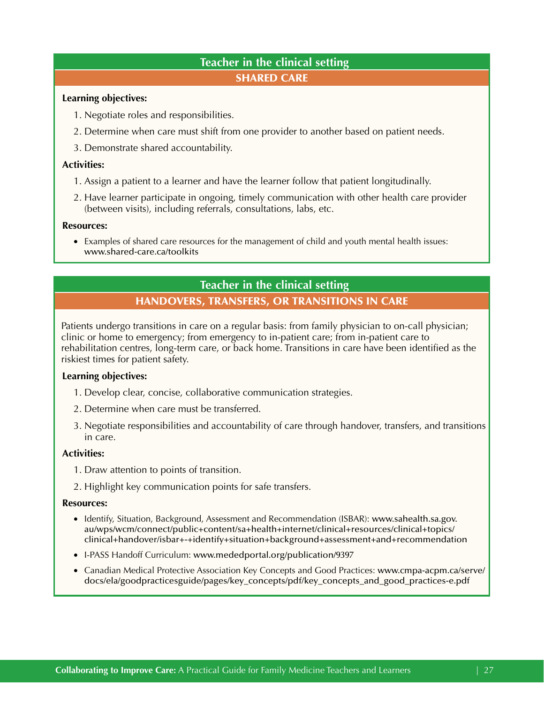# **Teacher in the clinical setting**  SHARED CARE

#### **Learning objectives:**

- 1. Negotiate roles and responsibilities.
- 2. Determine when care must shift from one provider to another based on patient needs.
- 3. Demonstrate shared accountability.

# **Activities:**

- 1. Assign a patient to a learner and have the learner follow that patient longitudinally.
- 2. Have learner participate in ongoing, timely communication with other health care provider (between visits), including referrals, consultations, labs, etc.

#### **Resources:**

• Examples of shared care resources for the management of child and youth mental health issues: [www.shared-care.ca/toolkits](http://www.shared-care.ca/toolkits) 

# **Teacher in the clinical setting**

# HANDOVERS, TRANSFERS, OR TRANSITIONS IN CARE

Patients undergo transitions in care on a regular basis: from family physician to on-call physician; clinic or home to emergency; from emergency to in-patient care; from in-patient care to rehabilitation centres, long-term care, or back home. Transitions in care have been identified as the riskiest times for patient safety.

# **Learning objectives:**

- 1. Develop clear, concise, collaborative communication strategies.
- 2. Determine when care must be transferred.
- 3. Negotiate responsibilities and accountability of care through handover, transfers, and transitions in care.

# **Activities:**

- 1. Draw attention to points of transition.
- 2. Highlight key communication points for safe transfers.

# **Resources:**

- Identify, Situation, Background, Assessment and Recommendation (ISBAR): www.sahealth.sa.gov. [au/wps/wcm/connect/public+content/sa+health+internet/clinical+resources/clinical+topics/](http://www.sahealth.sa.gov.au/wps/wcm/connect/public+content/sa+health+internet/clinical+resources/clinical+topics/clinical+handover/isbar+-+identify+situation+background+assessment+and+recommendation)  [clinical+handover/isbar+-+identify+situation+background+assessment+and+recommendation](http://www.sahealth.sa.gov.au/wps/wcm/connect/public+content/sa+health+internet/clinical+resources/clinical+topics/clinical+handover/isbar+-+identify+situation+background+assessment+and+recommendation)
- I-PASS Handoff Curriculum: [www.mededportal.org/publication/9397](https://www.mededportal.org/publication/9397)
- Canadian Medical Protective Association Key Concepts and Good Practices: [www.cmpa-acpm.ca/serve/](https://www.cmpa-acpm.ca/serve/docs/ela/goodpracticesguide/pages/key_concepts/pdf/key_concepts_and_good_practices-e.pdf) [docs/ela/goodpracticesguide/pages/key\\_concepts/pdf/key\\_concepts\\_and\\_good\\_practices-e.pdf](https://www.cmpa-acpm.ca/serve/docs/ela/goodpracticesguide/pages/key_concepts/pdf/key_concepts_and_good_practices-e.pdf)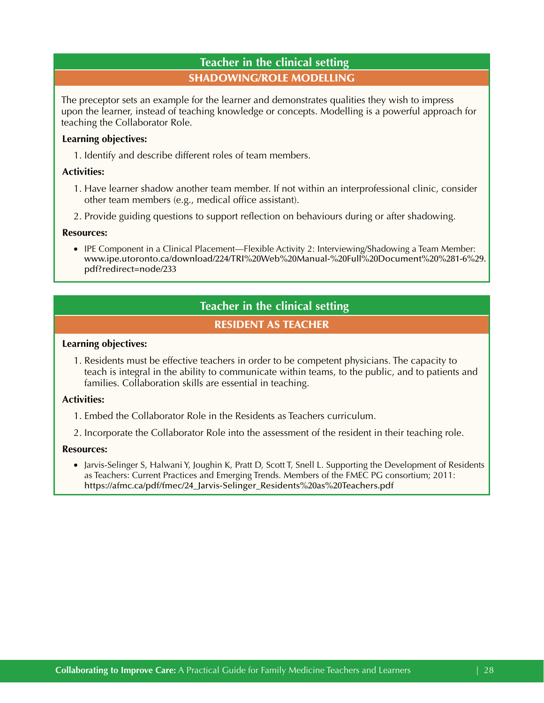# **Teacher in the clinical setting**  SHADOWING/ROLE MODELLING

The preceptor sets an example for the learner and demonstrates qualities they wish to impress upon the learner, instead of teaching knowledge or concepts. Modelling is a powerful approach for teaching the Collaborator Role.

# **Learning objectives:**

1. Identify and describe different roles of team members.

# **Activities:**

- 1. Have learner shadow another team member. If not within an interprofessional clinic, consider other team members (e.g., medical office assistant).
- 2. Provide guiding questions to support reflection on behaviours during or after shadowing.

# **Resources:**

• IPE Component in a Clinical Placement—Flexible Activity 2: Interviewing/Shadowing a Team Member: [www.ipe.utoronto.ca/download/224/TRI%20Web%20Manual-%20Full%20Document%20%281-6%29.](http://www.ipe.utoronto.ca/download/224/TRI%20Web%20Manual-%20Full%20Document%20%281-6%29.pdf?redirect=node/233) [pdf?redirect=node/233](http://www.ipe.utoronto.ca/download/224/TRI%20Web%20Manual-%20Full%20Document%20%281-6%29.pdf?redirect=node/233) 

# **Teacher in the clinical setting**

# RESIDENT AS TEACHER

# **Learning objectives:**

1. Residents must be effective teachers in order to be competent physicians. The capacity to teach is integral in the ability to communicate within teams, to the public, and to patients and families. Collaboration skills are essential in teaching.

# **Activities:**

- 1. Embed the Collaborator Role in the Residents as Teachers curriculum.
- 2. Incorporate the Collaborator Role into the assessment of the resident in their teaching role.

# **Resources:**

• Jarvis-Selinger S, Halwani Y, Joughin K, Pratt D, Scott T, Snell L. Supporting the Development of Residents as Teachers: Current Practices and Emerging Trends. Members of the FMEC PG consortium; 2011: [https://afmc.ca/pdf/fmec/24\\_Jarvis-Selinger\\_Residents%20as%20Teachers.pdf](https://afmc.ca/pdf/fmec/24_Jarvis-Selinger_Residents%20as%20Teachers.pdf)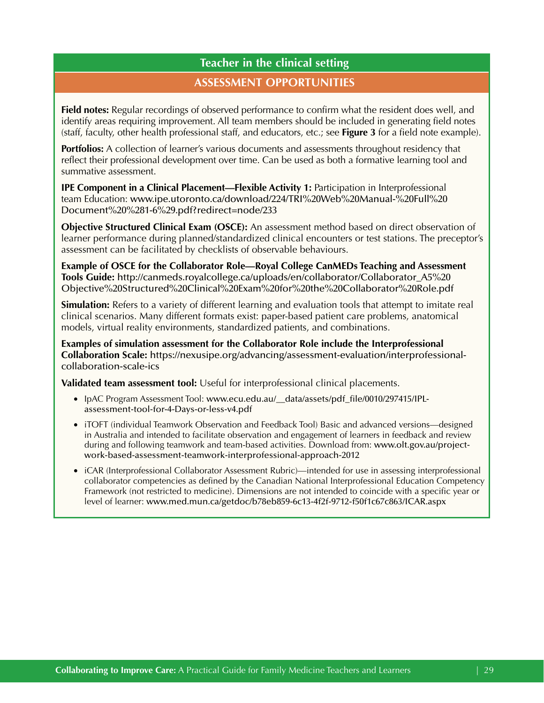# **Teacher in the clinical setting ASSESSMENT OPPORTUNITIES**

**Field notes:** Regular recordings of observed performance to confirm what the resident does well, and identify areas requiring improvement. All team members should be included in generating field notes (staff, faculty, other health professional staff, and educators, etc.; see **[Figure 3](#page-10-0)** for a field note example).

**Portfolios:** A collection of learner's various documents and assessments throughout residency that reflect their professional development over time. Can be used as both a formative learning tool and summative assessment.

**IPE Component in a Clinical Placement—Flexible Activity 1:** Participation in Interprofessional team Education: [www.ipe.utoronto.ca/download/224/TRI%20Web%20Manual-%20Full%20](http://www.ipe.utoronto.ca/download/224/TRI%20Web%20Manual-%20Full%20Document%20%281-6%29.pdf?redirect=node/233)  [Document%20%281-6%29.pdf?redirect=node/233](http://www.ipe.utoronto.ca/download/224/TRI%20Web%20Manual-%20Full%20Document%20%281-6%29.pdf?redirect=node/233) 

**Objective Structured Clinical Exam (OSCE):** An assessment method based on direct observation of learner performance during planned/standardized clinical encounters or test stations. The preceptor's assessment can be facilitated by checklists of observable behaviours.

**Example of OSCE for the Collaborator Role—Royal College CanMEDs Teaching and Assessment Tools Guide:** [http://canmeds.royalcollege.ca/uploads/en/collaborator/Collaborator\\_A5%20](http://canmeds.royalcollege.ca/uploads/en/collaborator/Collaborator_A5%20Objective%20Structured%20Clinical%20Exam%20for%20the%20Collaborator%20Role.pdf) [Objective%20Structured%20Clinical%20Exam%20for%20the%20Collaborator%20Role.pdf](http://canmeds.royalcollege.ca/uploads/en/collaborator/Collaborator_A5%20Objective%20Structured%20Clinical%20Exam%20for%20the%20Collaborator%20Role.pdf) 

**Simulation:** Refers to a variety of different learning and evaluation tools that attempt to imitate real clinical scenarios. Many different formats exist: paper-based patient care problems, anatomical models, virtual reality environments, standardized patients, and combinations.

**Examples of simulation assessment for the Collaborator Role include the Interprofessional Collaboration Scale:** [https://nexusipe.org/advancing/assessment-evaluation/interprofessional](https://nexusipe.org/advancing/assessment-evaluation/interprofessional-collaboration-scale-ics)[collaboration-scale-ics](https://nexusipe.org/advancing/assessment-evaluation/interprofessional-collaboration-scale-ics) 

**Validated team assessment tool:** Useful for interprofessional clinical placements.

- • IpAC Program Assessment Tool: [www.ecu.edu.au/\\_\\_data/assets/pdf\\_file/0010/297415/IPL](http://www.ecu.edu.au/__data/assets/pdf_file/0010/297415/IPL-assessment-tool-for-4-Days-or-less-v4.pdf)[assessment-tool-for-4-Days-or-less-v4.pdf](http://www.ecu.edu.au/__data/assets/pdf_file/0010/297415/IPL-assessment-tool-for-4-Days-or-less-v4.pdf)
- • iTOFT (individual Teamwork Observation and Feedback Tool) Basic and advanced versions—designed in Australia and intended to facilitate observation and engagement of learners in feedback and review during and following teamwork and team-based activities. Download from: [www.olt.gov.au/project](http://www.olt.gov.au/project-work-based-assessment-teamwork-interprofessional-approach-2012)[work-based-assessment-teamwork-interprofessional-approach-2012](http://www.olt.gov.au/project-work-based-assessment-teamwork-interprofessional-approach-2012)
- iCAR (Interprofessional Collaborator Assessment Rubric)—intended for use in assessing interprofessional collaborator competencies as defined by the Canadian National Interprofessional Education Competency Framework (not restricted to medicine). Dimensions are not intended to coincide with a specific year or level of learner: [www.med.mun.ca/getdoc/b78eb859-6c13-4f2f-9712-f50f1c67c863/ICAR.aspx](https://www.med.mun.ca/getdoc/b78eb859-6c13-4f2f-9712-f50f1c67c863/ICAR.aspx)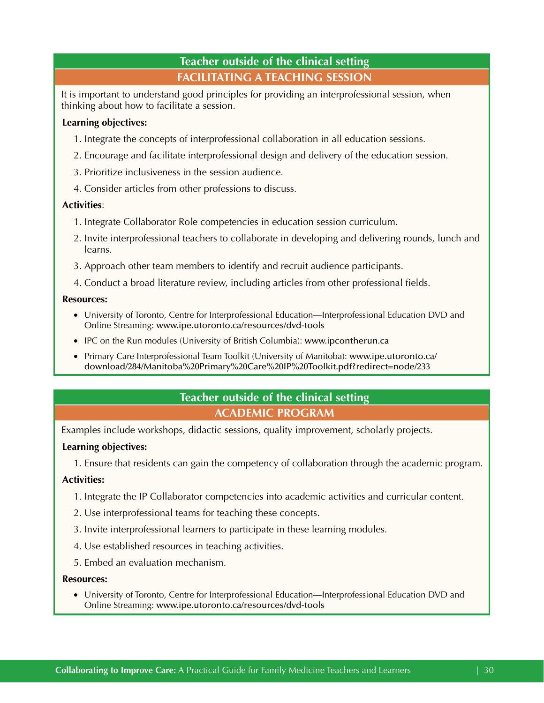# **FACILITATING A TEACHING SESSION Teacher outside of the clinical setting**

<span id="page-29-0"></span>It is important to understand good principles for providing an interprofessional session, when thinking about how to facilitate a session.

# **Learning objectives:**

- 1. Integrate the concepts of interprofessional collaboration in all education sessions.
- 2. Encourage and facilitate interprofessional design and delivery of the education session.
- 3. Prioritize inclusiveness in the session audience.
- 4. Consider articles from other professions to discuss.

# **Activities**:

- 1. Integrate Collaborator Role competencies in education session curriculum.
- 2. Invite interprofessional teachers to collaborate in developing and delivering rounds, lunch and learns.
- 3. Approach other team members to identify and recruit audience participants.
- 4. Conduct a broad literature review, including articles from other professional fields.

# **Resources:**

- University of Toronto, Centre for Interprofessional Education—Interprofessional Education DVD and Online Streaming: [www.ipe.utoronto.ca/resources/dvd-tools](http://www.ipe.utoronto.ca/resources/dvd-tools)
- IPC on the Run modules (University of British Columbia): www.ipcontherun.ca
- • Primary Care Interprofessional Team Toolkit (University of Manitoba): [www.ipe.utoronto.ca/](http://www.ipe.utoronto.ca/download/284/Manitoba%20Primary%20Care%20IP%20Toolkit.pdf?redirect=node/233)  [download/284/Manitoba%20Primary%20Care%20IP%20Toolkit.pdf?redirect=node/233](http://www.ipe.utoronto.ca/download/284/Manitoba%20Primary%20Care%20IP%20Toolkit.pdf?redirect=node/233)

# **Teacher outside of the clinical setting ACADEMIC PROGRAM**

Examples include workshops, didactic sessions, quality improvement, scholarly projects.

# **Learning objectives:**

1. Ensure that residents can gain the competency of collaboration through the academic program.

# **Activities:**

- 1. Integrate the IP Collaborator competencies into academic activities and curricular content.
- 2. Use interprofessional teams for teaching these concepts.
- 3. Invite interprofessional learners to participate in these learning modules.
- 4. Use established resources in teaching activities.
- 5. Embed an evaluation mechanism.

# **Resources:**

• University of Toronto, Centre for Interprofessional Education—Interprofessional Education DVD and Online Streaming: [www.ipe.utoronto.ca/resources/dvd-tools](http://www.ipe.utoronto.ca/resources/dvd-tools)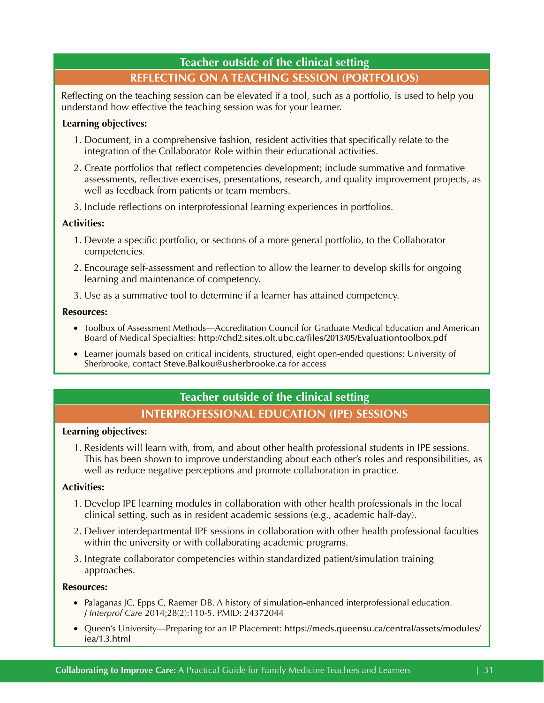# **REFLECTING ON A TEACHING SESSION (PORTFOLIOS) Teacher outside of the clinical setting**

Reflecting on the teaching session can be elevated if a tool, such as a portfolio, is used to help you understand how effective the teaching session was for your learner.

# **Learning objectives:**

- 1. Document, in a comprehensive fashion, resident activities that specifically relate to the integration of the Collaborator Role within their educational activities.
- 2. Create portfolios that reflect competencies development; include summative and formative assessments, reflective exercises, presentations, research, and quality improvement projects, as well as feedback from patients or team members.
- 3. Include reflections on interprofessional learning experiences in portfolios.

# **Activities:**

- 1. Devote a specific portfolio, or sections of a more general portfolio, to the Collaborator competencies.
- 2. Encourage self-assessment and reflection to allow the learner to develop skills for ongoing learning and maintenance of competency.
- 3. Use as a summative tool to determine if a learner has attained competency.

# **Resources:**

- Toolbox of Assessment Methods—Accreditation Council for Graduate Medical Education and American Board of Medical Specialties: <http://chd2.sites.olt.ubc.ca/files/2013/05/Evaluationtoolbox.pdf>
- Learner journals based on critical incidents, structured, eight open-ended questions; University of Sherbrooke, contact [Steve.Balkou@usherbrooke.ca](mailto:Steve.Balkou@usherbrooke.ca) for access

# **Teacher outside of the clinical setting INTERPROFESSIONAL EDUCATION (IPE) SESSIONS**

# **Learning objectives:**

1. Residents will learn with, from, and about other health professional students in IPE sessions. This has been shown to improve understanding about each other's roles and responsibilities, as well as reduce negative perceptions and promote collaboration in practice.

# **Activities:**

- 1. Develop IPE learning modules in collaboration with other health professionals in the local clinical setting, such as in resident academic sessions (e.g., academic half-day).
- 2. Deliver interdepartmental IPE sessions in collaboration with other health professional faculties within the university or with collaborating academic programs.
- 3. Integrate collaborator competencies within standardized patient/simulation training approaches.

# **Resources:**

- Palaganas JC, Epps C, Raemer DB. A history of simulation-enhanced interprofessional education. *J Interprof Care* 2014;28(2):110-5. [PMID: 24372044](http://www.ncbi.nlm.nih.gov/pubmed/24372044)
- • Queen's University—Preparing for an IP Placement: [https://meds.queensu.ca/central/assets/modules/](https://meds.queensu.ca/central/assets/modules/iea/1.3.html) [iea/1.3.html](https://meds.queensu.ca/central/assets/modules/iea/1.3.html)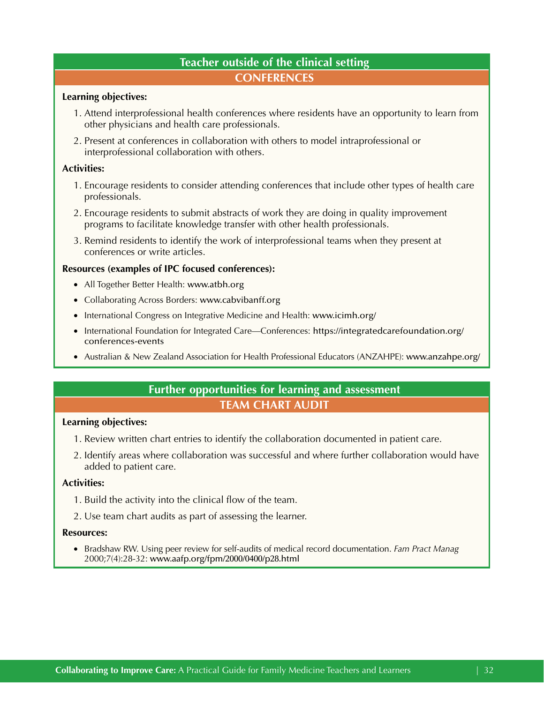# **Teacher outside of the clinical setting CONFERENCES**

#### <span id="page-31-0"></span>**Learning objectives:**

- 1. Attend interprofessional health conferences where residents have an opportunity to learn from other physicians and health care professionals.
- 2. Present at conferences in collaboration with others to model intraprofessional or interprofessional collaboration with others.

# **Activities:**

- 1. Encourage residents to consider attending conferences that include other types of health care professionals.
- 2. Encourage residents to submit abstracts of work they are doing in quality improvement programs to facilitate knowledge transfer with other health professionals.
- 3. Remind residents to identify the work of interprofessional teams when they present at conferences or write articles.

# **Resources (examples of IPC focused conferences):**

- All Together Better Health: www.atbh.org
- Collaborating Across Borders: www.cabvibanff.org
- International Congress on Integrative Medicine and Health: [www.icimh.org/](http://www.icimh.org/)
- International Foundation for Integrated Care—Conferences: [https://integratedcarefoundation.org/](https://integratedcarefoundation.org/conferences-events) [conferences-events](https://integratedcarefoundation.org/conferences-events)
- • Australian & New Zealand Association for Health Professional Educators (ANZAHPE): [www.anzahpe.org/](http://www.anzahpe.org/)

# **TEAM CHART AUDIT Further opportunities for learning and assessment**

# **Learning objectives:**

- 1. Review written chart entries to identify the collaboration documented in patient care.
- 2. Identify areas where collaboration was successful and where further collaboration would have added to patient care.

#### **Activities:**

- 1. Build the activity into the clinical flow of the team.
- 2. Use team chart audits as part of assessing the learner.

#### **Resources:**

• Bradshaw RW. Using peer review for self-audits of medical record documentation. *Fam Pract Manag*  2000;7(4):28-32: [www.aafp.org/fpm/2000/0400/p28.html](http://www.aafp.org/fpm/2000/0400/p28.html)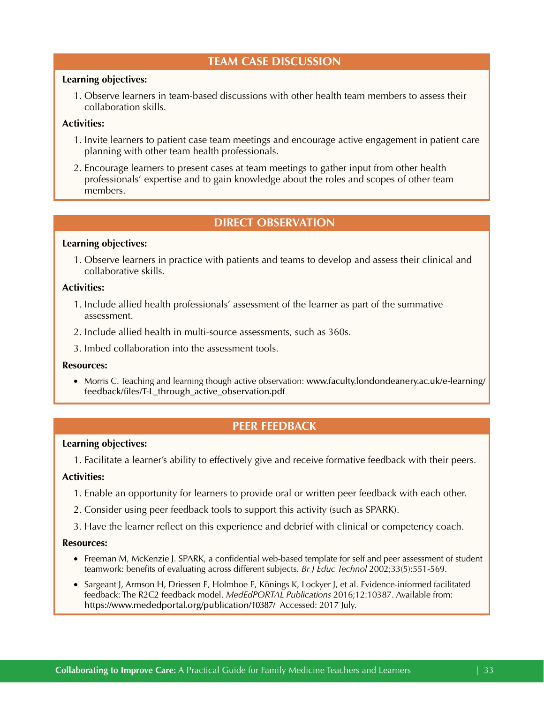# **TEAM CASE DISCUSSION**

# **Learning objectives:**

1. Observe learners in team-based discussions with other health team members to assess their collaboration skills.

# **Activities:**

- 1. Invite learners to patient case team meetings and encourage active engagement in patient care planning with other team health professionals.
- 2. Encourage learners to present cases at team meetings to gather input from other health professionals' expertise and to gain knowledge about the roles and scopes of other team members.

# **DIRECT OBSERVATION**

#### **Learning objectives:**

1. Observe learners in practice with patients and teams to develop and assess their clinical and collaborative skills.

# **Activities:**

- 1. Include allied health professionals' assessment of the learner as part of the summative assessment.
- 2. Include allied health in multi-source assessments, such as 360s.
- 3. Imbed collaboration into the assessment tools.

#### **Resources:**

• Morris C. Teaching and learning though active observation: www.faculty.londondeanery.ac.uk/e-learning/ [feedback/files/T-L\\_through\\_active\\_observation.pdf](http://www.faculty.londondeanery.ac.uk/e-learning/feedback/files/T-L_through_active_observation.pdf)

# **PEER FEEDBACK**

#### **Learning objectives:**

1. Facilitate a learner's ability to effectively give and receive formative feedback with their peers.

# **Activities:**

- 1. Enable an opportunity for learners to provide oral or written peer feedback with each other.
- 2. Consider using peer feedback tools to support this activity (such as SPARK).
- 3. Have the learner reflect on this experience and debrief with clinical or competency coach.

#### **Resources:**

- Freeman M, McKenzie J. SPARK, a confidential web-based template for self and peer assessment of student teamwork: benefits of evaluating across different subjects. *Br J Educ Technol* 2002;33(5):551-569.
- https://www.mededportal.org/publication/10387/ Accessed: 2017 July. • Sargeant J, Armson H, Driessen E, Holmboe E, Könings K, Lockyer J, et al. Evidence-informed facilitated feedback: The R2C2 feedback model. *MedEdPORTAL Publications* 2016;12:10387. Available from: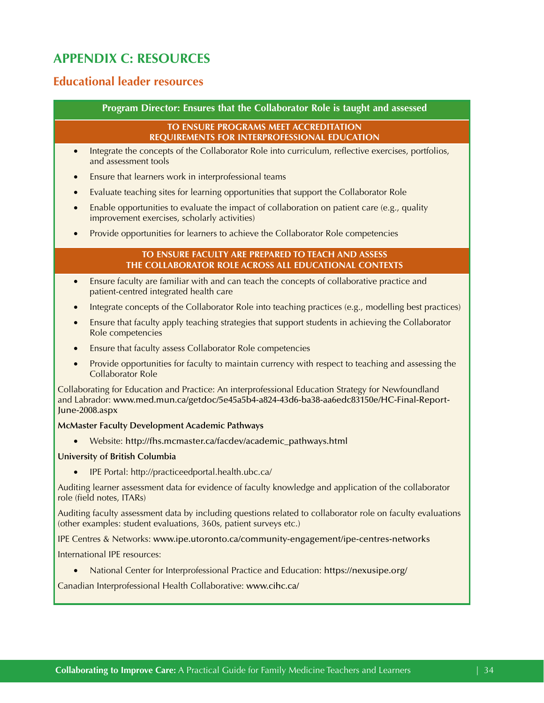# <span id="page-33-0"></span>**APPENDIX C: RESOURCES**

# **Educational leader resources**

#### **Program Director: Ensures that the Collaborator Role is taught and assessed**

# **TO ENSURE PROGRAMS MEET ACCREDITATION REQUIREMENTS FOR INTERPROFESSIONAL EDUCATION**

- Integrate the concepts of the Collaborator Role into curriculum, reflective exercises, portfolios, and assessment tools
- Ensure that learners work in interprofessional teams
- Evaluate teaching sites for learning opportunities that support the Collaborator Role
- Enable opportunities to evaluate the impact of collaboration on patient care (e.g., quality improvement exercises, scholarly activities)
- Provide opportunities for learners to achieve the Collaborator Role competencies

#### **TO ENSURE FACULTY ARE PREPARED TO TEACH AND ASSESS THE COLLABORATOR ROLE ACROSS ALL EDUCATIONAL CONTEXTS**

- Ensure faculty are familiar with and can teach the concepts of collaborative practice and patient-centred integrated health care
- Integrate concepts of the Collaborator Role into teaching practices (e.g., modelling best practices)
- Ensure that faculty apply teaching strategies that support students in achieving the Collaborator Role competencies
- Ensure that faculty assess Collaborator Role competencies
- Provide opportunities for faculty to maintain currency with respect to teaching and assessing the Collaborator Role

Collaborating for Education and Practice: An interprofessional Education Strategy for Newfoundland and Labrador: [www.med.mun.ca/getdoc/5e45a5b4-a824-43d6-ba38-aa6edc83150e/HC-Final-Report-](https://www.med.mun.ca/getdoc/5e45a5b4-a824-43d6-ba38-aa6edc83150e/HC-Final-Report-June-2008.aspx)[June-2008.aspx](https://www.med.mun.ca/getdoc/5e45a5b4-a824-43d6-ba38-aa6edc83150e/HC-Final-Report-June-2008.aspx)

#### **McMaster Faculty Development Academic Pathways**

• Website: [http://fhs.mcmaster.ca/facdev/academic\\_pathways.html](http://fhs.mcmaster.ca/facdev/academic_pathways.html)

# **University of British Columbia**

IPE Portal: http://practiceedportal.health.ubc.ca/

Auditing learner assessment data for evidence of faculty knowledge and application of the collaborator role (field notes, ITARs)

Auditing faculty assessment data by including questions related to collaborator role on faculty evaluations (other examples: student evaluations, 360s, patient surveys etc.)

IPE Centres & Networks: [www.ipe.utoronto.ca/community-engagement/ipe-centres-networks](http://www.ipe.utoronto.ca/community-engagement/ipe-centres-networks)

International IPE resources:

• National Center for Interprofessional Practice and Education: https://nexusipe.org/

Canadian Interprofessional Health Collaborative: [www.cihc.ca/](http://www.cihc.ca/)